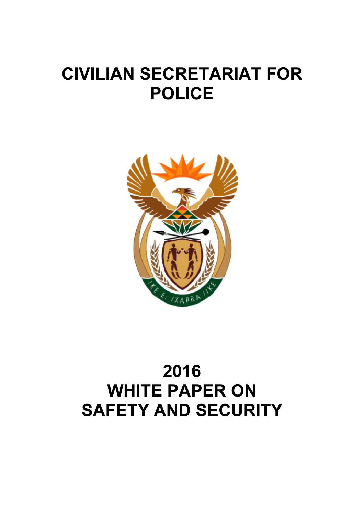# CIVILIAN SECRETARIAT FOR POLICE



# 2016 WHITE PAPER ON SAFETY AND SECURITY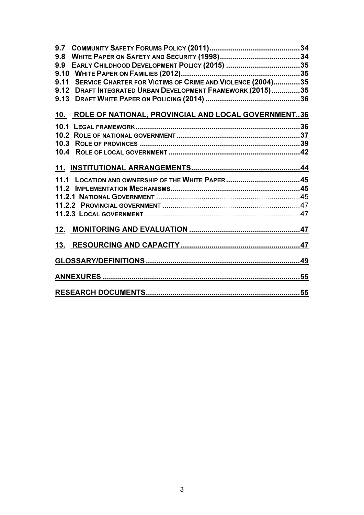| 9.7  |                                                              |  |
|------|--------------------------------------------------------------|--|
| 9.8  |                                                              |  |
| 9.9  |                                                              |  |
|      |                                                              |  |
| 9.11 | SERVICE CHARTER FOR VICTIMS OF CRIME AND VIOLENCE (2004)35   |  |
| 9.12 | <b>DRAFT INTEGRATED URBAN DEVELOPMENT FRAMEWORK (2015)35</b> |  |
| 9.13 |                                                              |  |
|      | 10. ROLE OF NATIONAL, PROVINCIAL AND LOCAL GOVERNMENT36      |  |
|      |                                                              |  |
|      |                                                              |  |
|      |                                                              |  |
|      |                                                              |  |
|      |                                                              |  |
|      |                                                              |  |
|      |                                                              |  |
|      |                                                              |  |
|      |                                                              |  |
|      |                                                              |  |
|      |                                                              |  |
|      |                                                              |  |
|      |                                                              |  |
|      |                                                              |  |
|      |                                                              |  |
|      |                                                              |  |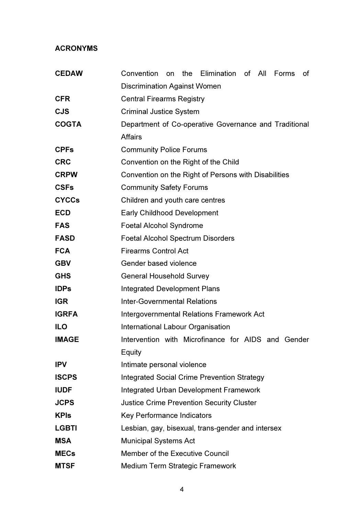# ACRONYMS

| <b>CEDAW</b> | the Elimination<br>Convention<br>of All<br>Forms<br>on<br>οf |
|--------------|--------------------------------------------------------------|
|              | <b>Discrimination Against Women</b>                          |
| <b>CFR</b>   | <b>Central Firearms Registry</b>                             |
| <b>CJS</b>   | <b>Criminal Justice System</b>                               |
| <b>COGTA</b> | Department of Co-operative Governance and Traditional        |
|              | <b>Affairs</b>                                               |
| <b>CPFs</b>  | <b>Community Police Forums</b>                               |
| <b>CRC</b>   | Convention on the Right of the Child                         |
| <b>CRPW</b>  | Convention on the Right of Persons with Disabilities         |
| <b>CSFs</b>  | <b>Community Safety Forums</b>                               |
| <b>CYCCs</b> | Children and youth care centres                              |
| <b>ECD</b>   | <b>Early Childhood Development</b>                           |
| <b>FAS</b>   | <b>Foetal Alcohol Syndrome</b>                               |
| <b>FASD</b>  | <b>Foetal Alcohol Spectrum Disorders</b>                     |
| <b>FCA</b>   | <b>Firearms Control Act</b>                                  |
| <b>GBV</b>   | Gender based violence                                        |
| <b>GHS</b>   | <b>General Household Survey</b>                              |
| <b>IDPs</b>  | <b>Integrated Development Plans</b>                          |
| <b>IGR</b>   | <b>Inter-Governmental Relations</b>                          |
| <b>IGRFA</b> | Intergovernmental Relations Framework Act                    |
| <b>ILO</b>   | International Labour Organisation                            |
| <b>IMAGE</b> | Intervention with Microfinance for AIDS and Gender           |
|              | Equity                                                       |
| <b>IPV</b>   | Intimate personal violence                                   |
| <b>ISCPS</b> | <b>Integrated Social Crime Prevention Strategy</b>           |
| <b>IUDF</b>  | <b>Integrated Urban Development Framework</b>                |
| <b>JCPS</b>  | <b>Justice Crime Prevention Security Cluster</b>             |
| <b>KPIs</b>  | Key Performance Indicators                                   |
| <b>LGBTI</b> | Lesbian, gay, bisexual, trans-gender and intersex            |
| <b>MSA</b>   | <b>Municipal Systems Act</b>                                 |
| <b>MECs</b>  | Member of the Executive Council                              |
| <b>MTSF</b>  | Medium Term Strategic Framework                              |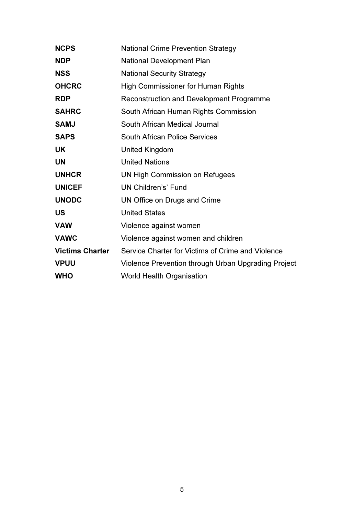| <b>NCPS</b>            | <b>National Crime Prevention Strategy</b>           |
|------------------------|-----------------------------------------------------|
| <b>NDP</b>             | National Development Plan                           |
| <b>NSS</b>             | <b>National Security Strategy</b>                   |
| <b>OHCRC</b>           | <b>High Commissioner for Human Rights</b>           |
| <b>RDP</b>             | <b>Reconstruction and Development Programme</b>     |
| <b>SAHRC</b>           | South African Human Rights Commission               |
| <b>SAMJ</b>            | South African Medical Journal                       |
| <b>SAPS</b>            | <b>South African Police Services</b>                |
| <b>UK</b>              | <b>United Kingdom</b>                               |
| <b>UN</b>              | <b>United Nations</b>                               |
| <b>UNHCR</b>           | <b>UN High Commission on Refugees</b>               |
| <b>UNICEF</b>          | <b>UN Children's' Fund</b>                          |
| <b>UNODC</b>           | UN Office on Drugs and Crime                        |
| US                     | <b>United States</b>                                |
| <b>VAW</b>             | Violence against women                              |
| <b>VAWC</b>            | Violence against women and children                 |
| <b>Victims Charter</b> | Service Charter for Victims of Crime and Violence   |
| <b>VPUU</b>            | Violence Prevention through Urban Upgrading Project |
| <b>WHO</b>             | <b>World Health Organisation</b>                    |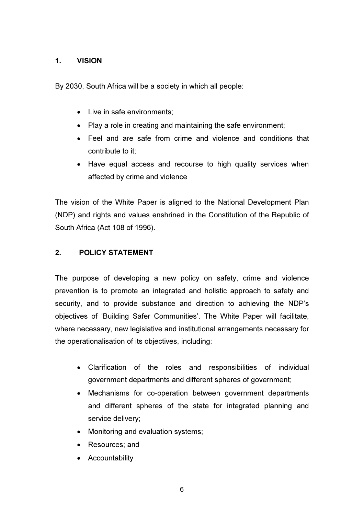# 1. VISION

By 2030, South Africa will be a society in which all people:

- Live in safe environments:
- Play a role in creating and maintaining the safe environment;
- Feel and are safe from crime and violence and conditions that contribute to it;
- Have equal access and recourse to high quality services when affected by crime and violence

The vision of the White Paper is aligned to the National Development Plan (NDP) and rights and values enshrined in the Constitution of the Republic of South Africa (Act 108 of 1996).

# 2. POLICY STATEMENT

The purpose of developing a new policy on safety, crime and violence prevention is to promote an integrated and holistic approach to safety and security, and to provide substance and direction to achieving the NDP's objectives of 'Building Safer Communities'. The White Paper will facilitate, where necessary, new legislative and institutional arrangements necessary for the operationalisation of its objectives, including:

- Clarification of the roles and responsibilities of individual government departments and different spheres of government;
- Mechanisms for co-operation between government departments and different spheres of the state for integrated planning and service delivery;
- Monitoring and evaluation systems;
- Resources; and
- Accountability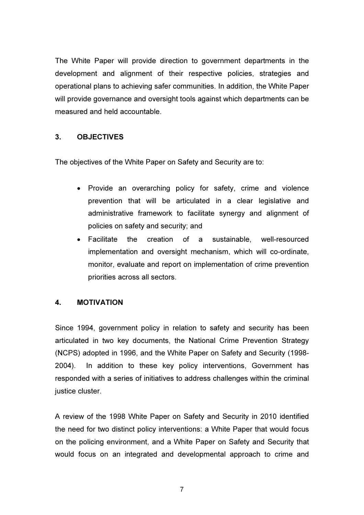The White Paper will provide direction to government departments in the development and alignment of their respective policies, strategies and operational plans to achieving safer communities. In addition, the White Paper will provide governance and oversight tools against which departments can be measured and held accountable.

# 3. OBJECTIVES

The objectives of the White Paper on Safety and Security are to:

- Provide an overarching policy for safety, crime and violence prevention that will be articulated in a clear legislative and administrative framework to facilitate synergy and alignment of policies on safety and security; and
- Facilitate the creation of a sustainable, well-resourced implementation and oversight mechanism, which will co-ordinate, monitor, evaluate and report on implementation of crime prevention priorities across all sectors.

# 4. MOTIVATION

Since 1994, government policy in relation to safety and security has been articulated in two key documents, the National Crime Prevention Strategy (NCPS) adopted in 1996, and the White Paper on Safety and Security (1998- 2004). In addition to these key policy interventions, Government has responded with a series of initiatives to address challenges within the criminal justice cluster.

A review of the 1998 White Paper on Safety and Security in 2010 identified the need for two distinct policy interventions: a White Paper that would focus on the policing environment, and a White Paper on Safety and Security that would focus on an integrated and developmental approach to crime and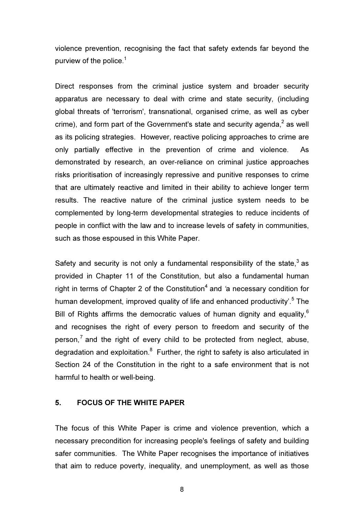violence prevention, recognising the fact that safety extends far beyond the purview of the police. $1$ 

Direct responses from the criminal justice system and broader security apparatus are necessary to deal with crime and state security, (including global threats of 'terrorism', transnational, organised crime, as well as cyber crime), and form part of the Government's state and security agenda, $^2$  as well as its policing strategies. However, reactive policing approaches to crime are only partially effective in the prevention of crime and violence. As demonstrated by research, an over-reliance on criminal justice approaches risks prioritisation of increasingly repressive and punitive responses to crime that are ultimately reactive and limited in their ability to achieve longer term results. The reactive nature of the criminal justice system needs to be complemented by long-term developmental strategies to reduce incidents of people in conflict with the law and to increase levels of safety in communities, such as those espoused in this White Paper.

Safety and security is not only a fundamental responsibility of the state,<sup>3</sup> as provided in Chapter 11 of the Constitution, but also a fundamental human right in terms of Chapter 2 of the Constitution<sup>4</sup> and 'a necessary condition for human development, improved quality of life and enhanced productivity'.<sup>5</sup> The Bill of Rights affirms the democratic values of human dignity and equality.<sup>6</sup> and recognises the right of every person to freedom and security of the person,<sup>7</sup> and the right of every child to be protected from neglect, abuse, degradation and exploitation.<sup>8</sup> Further, the right to safety is also articulated in Section 24 of the Constitution in the right to a safe environment that is not harmful to health or well-being.

#### 5. FOCUS OF THE WHITE PAPER

The focus of this White Paper is crime and violence prevention, which a necessary precondition for increasing people's feelings of safety and building safer communities. The White Paper recognises the importance of initiatives that aim to reduce poverty, inequality, and unemployment, as well as those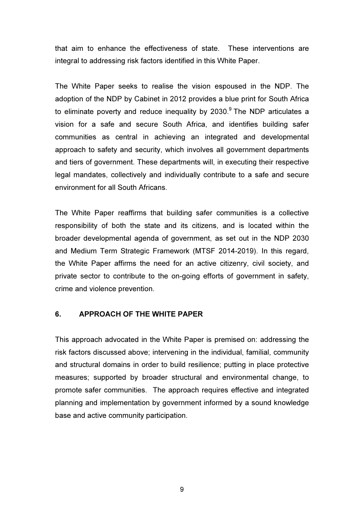that aim to enhance the effectiveness of state. These interventions are integral to addressing risk factors identified in this White Paper.

The White Paper seeks to realise the vision espoused in the NDP. The adoption of the NDP by Cabinet in 2012 provides a blue print for South Africa to eliminate poverty and reduce inequality by 2030. $^9$  The NDP articulates a vision for a safe and secure South Africa, and identifies building safer communities as central in achieving an integrated and developmental approach to safety and security, which involves all government departments and tiers of government. These departments will, in executing their respective legal mandates, collectively and individually contribute to a safe and secure environment for all South Africans.

The White Paper reaffirms that building safer communities is a collective responsibility of both the state and its citizens, and is located within the broader developmental agenda of government, as set out in the NDP 2030 and Medium Term Strategic Framework (MTSF 2014-2019). In this regard, the White Paper affirms the need for an active citizenry, civil society, and private sector to contribute to the on-going efforts of government in safety, crime and violence prevention.

#### 6. APPROACH OF THE WHITE PAPER

This approach advocated in the White Paper is premised on: addressing the risk factors discussed above; intervening in the individual, familial, community and structural domains in order to build resilience; putting in place protective measures; supported by broader structural and environmental change, to promote safer communities. The approach requires effective and integrated planning and implementation by government informed by a sound knowledge base and active community participation.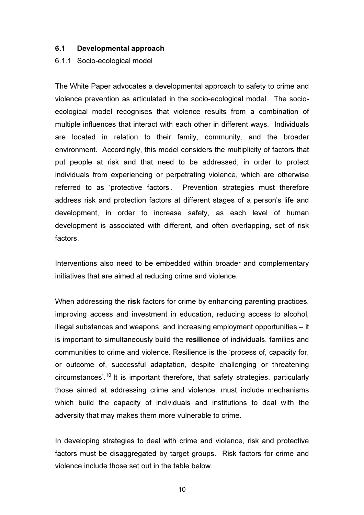#### 6.1 Developmental approach

6.1.1 Socio-ecological model

The White Paper advocates a developmental approach to safety to crime and violence prevention as articulated in the socio-ecological model. The socioecological model recognises that violence results from a combination of multiple influences that interact with each other in different ways. Individuals are located in relation to their family, community, and the broader environment. Accordingly, this model considers the multiplicity of factors that put people at risk and that need to be addressed, in order to protect individuals from experiencing or perpetrating violence, which are otherwise referred to as 'protective factors'. Prevention strategies must therefore address risk and protection factors at different stages of a person's life and development, in order to increase safety, as each level of human development is associated with different, and often overlapping, set of risk factors.

Interventions also need to be embedded within broader and complementary initiatives that are aimed at reducing crime and violence.

When addressing the risk factors for crime by enhancing parenting practices, improving access and investment in education, reducing access to alcohol, illegal substances and weapons, and increasing employment opportunities – it is important to simultaneously build the resilience of individuals, families and communities to crime and violence. Resilience is the 'process of, capacity for, or outcome of, successful adaptation, despite challenging or threatening circumstances'.<sup>10</sup> It is important therefore, that safety strategies, particularly those aimed at addressing crime and violence, must include mechanisms which build the capacity of individuals and institutions to deal with the adversity that may makes them more vulnerable to crime.

In developing strategies to deal with crime and violence, risk and protective factors must be disaggregated by target groups. Risk factors for crime and violence include those set out in the table below.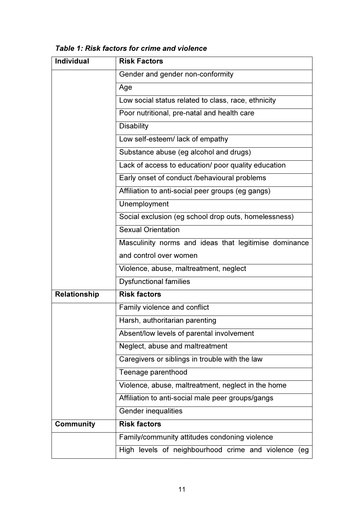| Table 1: Risk factors for crime and violence |  |
|----------------------------------------------|--|
|----------------------------------------------|--|

| <b>Individual</b> | <b>Risk Factors</b>                                    |
|-------------------|--------------------------------------------------------|
|                   | Gender and gender non-conformity                       |
|                   | Age                                                    |
|                   | Low social status related to class, race, ethnicity    |
|                   | Poor nutritional, pre-natal and health care            |
|                   | <b>Disability</b>                                      |
|                   | Low self-esteem/ lack of empathy                       |
|                   | Substance abuse (eg alcohol and drugs)                 |
|                   | Lack of access to education/ poor quality education    |
|                   | Early onset of conduct /behavioural problems           |
|                   | Affiliation to anti-social peer groups (eg gangs)      |
|                   | Unemployment                                           |
|                   | Social exclusion (eg school drop outs, homelessness)   |
|                   | <b>Sexual Orientation</b>                              |
|                   | Masculinity norms and ideas that legitimise dominance  |
|                   | and control over women                                 |
|                   | Violence, abuse, maltreatment, neglect                 |
|                   | <b>Dysfunctional families</b>                          |
| Relationship      | <b>Risk factors</b>                                    |
|                   | Family violence and conflict                           |
|                   | Harsh, authoritarian parenting                         |
|                   | Absent/low levels of parental involvement              |
|                   | Neglect, abuse and maltreatment                        |
|                   | Caregivers or siblings in trouble with the law         |
|                   | Teenage parenthood                                     |
|                   | Violence, abuse, maltreatment, neglect in the home     |
|                   | Affiliation to anti-social male peer groups/gangs      |
|                   | Gender inequalities                                    |
| <b>Community</b>  | <b>Risk factors</b>                                    |
|                   | Family/community attitudes condoning violence          |
|                   | High levels of neighbourhood crime and violence<br>(eg |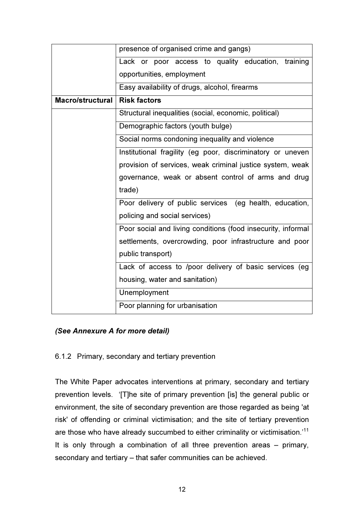|                  | presence of organised crime and gangs)                       |
|------------------|--------------------------------------------------------------|
|                  | Lack or poor access to quality education, training           |
|                  | opportunities, employment                                    |
|                  | Easy availability of drugs, alcohol, firearms                |
| Macro/structural | <b>Risk factors</b>                                          |
|                  | Structural inequalities (social, economic, political)        |
|                  | Demographic factors (youth bulge)                            |
|                  | Social norms condoning inequality and violence               |
|                  | Institutional fragility (eg poor, discriminatory or uneven   |
|                  | provision of services, weak criminal justice system, weak    |
|                  | governance, weak or absent control of arms and drug          |
|                  | trade)                                                       |
|                  | Poor delivery of public services (eg health, education,      |
|                  | policing and social services)                                |
|                  | Poor social and living conditions (food insecurity, informal |
|                  | settlements, overcrowding, poor infrastructure and poor      |
|                  | public transport)                                            |
|                  | Lack of access to /poor delivery of basic services (eg       |
|                  | housing, water and sanitation)                               |
|                  | Unemployment                                                 |
|                  | Poor planning for urbanisation                               |

# (See Annexure A for more detail)

# 6.1.2 Primary, secondary and tertiary prevention

The White Paper advocates interventions at primary, secondary and tertiary prevention levels. '[T]he site of primary prevention [is] the general public or environment, the site of secondary prevention are those regarded as being 'at risk' of offending or criminal victimisation; and the site of tertiary prevention are those who have already succumbed to either criminality or victimisation.'<sup>11</sup> It is only through a combination of all three prevention areas – primary, secondary and tertiary – that safer communities can be achieved.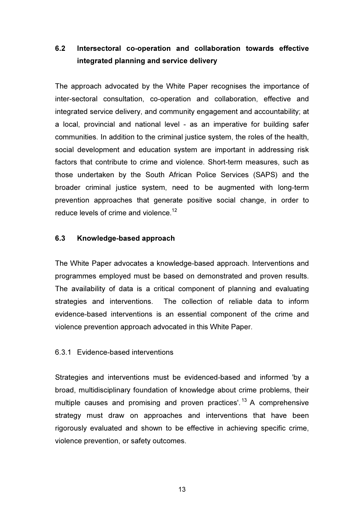# 6.2 Intersectoral co-operation and collaboration towards effective integrated planning and service delivery

The approach advocated by the White Paper recognises the importance of inter-sectoral consultation, co-operation and collaboration, effective and integrated service delivery, and community engagement and accountability; at a local, provincial and national level - as an imperative for building safer communities. In addition to the criminal justice system, the roles of the health, social development and education system are important in addressing risk factors that contribute to crime and violence. Short-term measures, such as those undertaken by the South African Police Services (SAPS) and the broader criminal justice system, need to be augmented with long-term prevention approaches that generate positive social change, in order to reduce levels of crime and violence.<sup>12</sup>

#### 6.3 Knowledge-based approach

The White Paper advocates a knowledge-based approach. Interventions and programmes employed must be based on demonstrated and proven results. The availability of data is a critical component of planning and evaluating strategies and interventions. The collection of reliable data to inform evidence-based interventions is an essential component of the crime and violence prevention approach advocated in this White Paper.

#### 6.3.1 Evidence-based interventions

Strategies and interventions must be evidenced-based and informed 'by a broad, multidisciplinary foundation of knowledge about crime problems, their multiple causes and promising and proven practices'.<sup>13</sup> A comprehensive strategy must draw on approaches and interventions that have been rigorously evaluated and shown to be effective in achieving specific crime, violence prevention, or safety outcomes.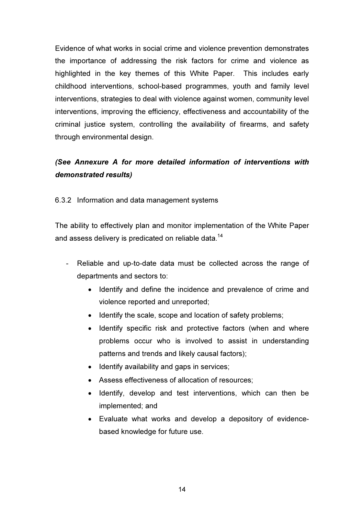Evidence of what works in social crime and violence prevention demonstrates the importance of addressing the risk factors for crime and violence as highlighted in the key themes of this White Paper. This includes early childhood interventions, school-based programmes, youth and family level interventions, strategies to deal with violence against women, community level interventions, improving the efficiency, effectiveness and accountability of the criminal justice system, controlling the availability of firearms, and safety through environmental design.

# (See Annexure A for more detailed information of interventions with demonstrated results)

6.3.2 Information and data management systems

The ability to effectively plan and monitor implementation of the White Paper and assess delivery is predicated on reliable data.<sup>14</sup>

- Reliable and up-to-date data must be collected across the range of departments and sectors to:
	- Identify and define the incidence and prevalence of crime and violence reported and unreported;
	- Identify the scale, scope and location of safety problems;
	- Identify specific risk and protective factors (when and where problems occur who is involved to assist in understanding patterns and trends and likely causal factors);
	- Identify availability and gaps in services;
	- Assess effectiveness of allocation of resources;
	- Identify, develop and test interventions, which can then be implemented; and
	- Evaluate what works and develop a depository of evidencebased knowledge for future use.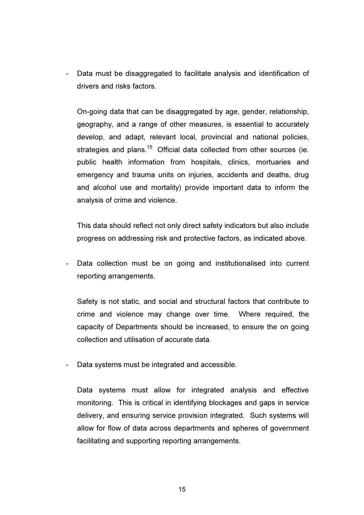Data must be disaggregated to facilitate analysis and identification of drivers and risks factors.

On-going data that can be disaggregated by age, gender, relationship, geography, and a range of other measures, is essential to accurately develop, and adapt, relevant local, provincial and national policies, strategies and plans.<sup>15</sup> Official data collected from other sources (ie. public health information from hospitals, clinics, mortuaries and emergency and trauma units on injuries, accidents and deaths, drug and alcohol use and mortality) provide important data to inform the analysis of crime and violence.

This data should reflect not only direct safety indicators but also include progress on addressing risk and protective factors, as indicated above.

- Data collection must be on going and institutionalised into current reporting arrangements.

Safety is not static, and social and structural factors that contribute to crime and violence may change over time. Where required, the capacity of Departments should be increased, to ensure the on going collection and utilisation of accurate data.

Data systems must be integrated and accessible.

Data systems must allow for integrated analysis and effective monitoring. This is critical in identifying blockages and gaps in service delivery, and ensuring service provision integrated. Such systems will allow for flow of data across departments and spheres of government facilitating and supporting reporting arrangements.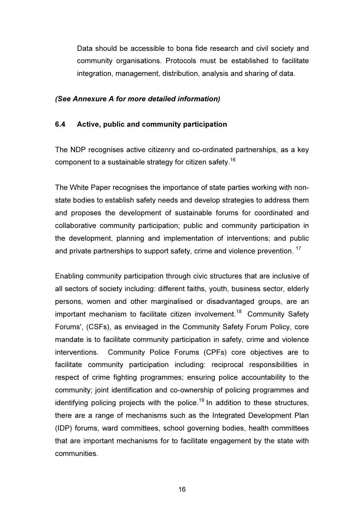Data should be accessible to bona fide research and civil society and community organisations. Protocols must be established to facilitate integration, management, distribution, analysis and sharing of data.

#### (See Annexure A for more detailed information)

#### 6.4 Active, public and community participation

The NDP recognises active citizenry and co-ordinated partnerships, as a key component to a sustainable strategy for citizen safety.<sup>16</sup>

The White Paper recognises the importance of state parties working with nonstate bodies to establish safety needs and develop strategies to address them and proposes the development of sustainable forums for coordinated and collaborative community participation; public and community participation in the development, planning and implementation of interventions; and public and private partnerships to support safety, crime and violence prevention.<sup>17</sup>

Enabling community participation through civic structures that are inclusive of all sectors of society including: different faiths, youth, business sector, elderly persons, women and other marginalised or disadvantaged groups, are an important mechanism to facilitate citizen involvement.<sup>18</sup> Community Safety Forums', (CSFs), as envisaged in the Community Safety Forum Policy, core mandate is to facilitate community participation in safety, crime and violence interventions. Community Police Forums (CPFs) core objectives are to facilitate community participation including: reciprocal responsibilities in respect of crime fighting programmes; ensuring police accountability to the community; joint identification and co-ownership of policing programmes and identifying policing projects with the police.<sup>19</sup> In addition to these structures, there are a range of mechanisms such as the Integrated Development Plan (IDP) forums, ward committees, school governing bodies, health committees that are important mechanisms for to facilitate engagement by the state with communities.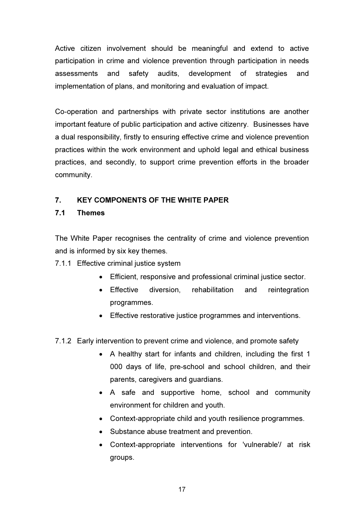Active citizen involvement should be meaningful and extend to active participation in crime and violence prevention through participation in needs assessments and safety audits, development of strategies and implementation of plans, and monitoring and evaluation of impact.

Co-operation and partnerships with private sector institutions are another important feature of public participation and active citizenry. Businesses have a dual responsibility, firstly to ensuring effective crime and violence prevention practices within the work environment and uphold legal and ethical business practices, and secondly, to support crime prevention efforts in the broader community.

# 7. KEY COMPONENTS OF THE WHITE PAPER

# 7.1 Themes

The White Paper recognises the centrality of crime and violence prevention and is informed by six key themes.

7.1.1 Effective criminal justice system

- Efficient, responsive and professional criminal justice sector.
- Effective diversion, rehabilitation and reintegration programmes.
- Effective restorative justice programmes and interventions.
- 7.1.2 Early intervention to prevent crime and violence, and promote safety
	- A healthy start for infants and children, including the first 1 000 days of life, pre-school and school children, and their parents, caregivers and guardians.
	- A safe and supportive home, school and community environment for children and youth.
	- Context-appropriate child and youth resilience programmes.
	- Substance abuse treatment and prevention.
	- Context-appropriate interventions for 'vulnerable'/ at risk groups.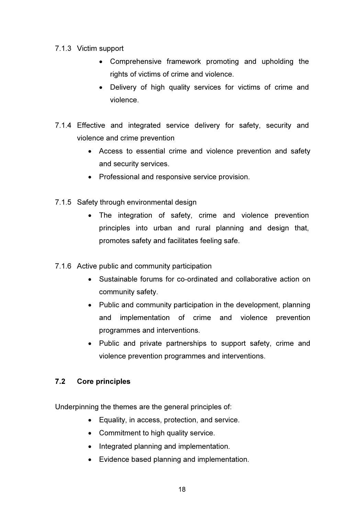# 7.1.3 Victim support

- Comprehensive framework promoting and upholding the rights of victims of crime and violence.
- Delivery of high quality services for victims of crime and violence.
- 7.1.4 Effective and integrated service delivery for safety, security and violence and crime prevention
	- Access to essential crime and violence prevention and safety and security services.
	- Professional and responsive service provision.
- 7.1.5 Safety through environmental design
	- The integration of safety, crime and violence prevention principles into urban and rural planning and design that, promotes safety and facilitates feeling safe.
- 7.1.6 Active public and community participation
	- Sustainable forums for co-ordinated and collaborative action on community safety.
	- Public and community participation in the development, planning and implementation of crime and violence prevention programmes and interventions.
	- Public and private partnerships to support safety, crime and violence prevention programmes and interventions.

# 7.2 Core principles

Underpinning the themes are the general principles of:

- Equality, in access, protection, and service.
- Commitment to high quality service.
- Integrated planning and implementation.
- Evidence based planning and implementation.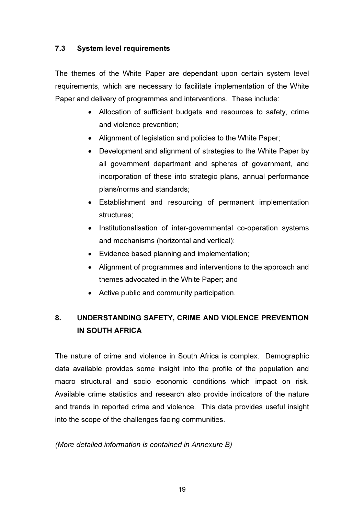# 7.3 System level requirements

The themes of the White Paper are dependant upon certain system level requirements, which are necessary to facilitate implementation of the White Paper and delivery of programmes and interventions. These include:

- Allocation of sufficient budgets and resources to safety, crime and violence prevention;
- Alignment of legislation and policies to the White Paper;
- Development and alignment of strategies to the White Paper by all government department and spheres of government, and incorporation of these into strategic plans, annual performance plans/norms and standards;
- Establishment and resourcing of permanent implementation structures;
- Institutionalisation of inter-governmental co-operation systems and mechanisms (horizontal and vertical);
- Evidence based planning and implementation;
- Alignment of programmes and interventions to the approach and themes advocated in the White Paper; and
- Active public and community participation.

# 8. UNDERSTANDING SAFETY, CRIME AND VIOLENCE PREVENTION IN SOUTH AFRICA

The nature of crime and violence in South Africa is complex. Demographic data available provides some insight into the profile of the population and macro structural and socio economic conditions which impact on risk. Available crime statistics and research also provide indicators of the nature and trends in reported crime and violence. This data provides useful insight into the scope of the challenges facing communities.

# (More detailed information is contained in Annexure B)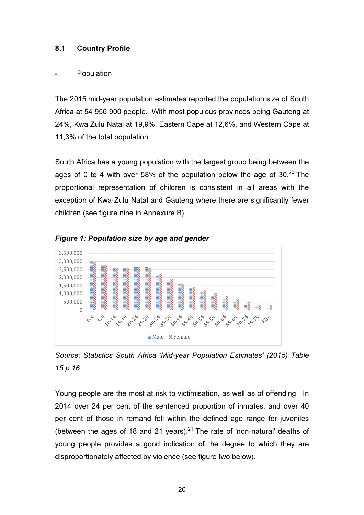# 8.1 Country Profile

#### **Population**

The 2015 mid-year population estimates reported the population size of South Africa at 54 956 900 people. With most populous provinces being Gauteng at 24%, Kwa Zulu Natal at 19,9%, Eastern Cape at 12,6%, and Western Cape at 11,3% of the total population.

South Africa has a young population with the largest group being between the ages of 0 to 4 with over 58% of the population below the age of  $30^{20}$  The proportional representation of children is consistent in all areas with the exception of Kwa-Zulu Natal and Gauteng where there are significantly fewer children (see figure nine in Annexure B).



Figure 1: Population size by age and gender

Source: Statistics South Africa 'Mid-year Population Estimates' (2015) Table 15 p 16.

Young people are the most at risk to victimisation, as well as of offending. In 2014 over 24 per cent of the sentenced proportion of inmates, and over 40 per cent of those in remand fell within the defined age range for juveniles (between the ages of 18 and 21 years).<sup>21</sup> The rate of 'non-natural' deaths of young people provides a good indication of the degree to which they are disproportionately affected by violence (see figure two below).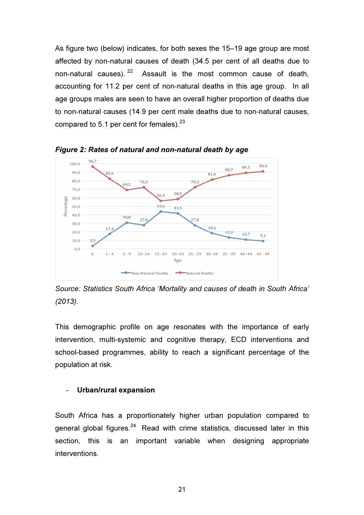As figure two (below) indicates, for both sexes the 15–19 age group are most affected by non-natural causes of death (34.5 per cent of all deaths due to non-natural causes).  $2^2$  Assault is the most common cause of death, accounting for 11.2 per cent of non-natural deaths in this age group. In all age groups males are seen to have an overall higher proportion of deaths due to non-natural causes (14.9 per cent male deaths due to non-natural causes, compared to 5.1 per cent for females). $23$ 



Figure 2: Rates of natural and non-natural death by age

Source: Statistics South Africa 'Mortality and causes of death in South Africa' (2013).

This demographic profile on age resonates with the importance of early intervention, multi-systemic and cognitive therapy, ECD interventions and school-based programmes, ability to reach a significant percentage of the population at risk.

#### Urban/rural expansion

South Africa has a proportionately higher urban population compared to general global figures. $24$  Read with crime statistics, discussed later in this section, this is an important variable when designing appropriate interventions.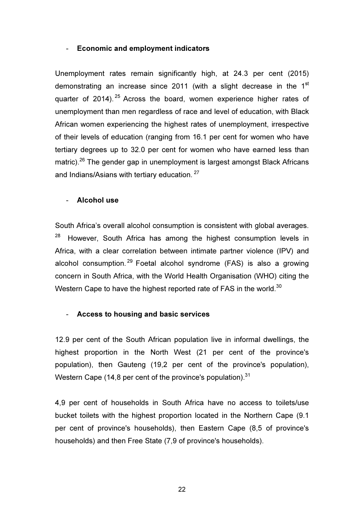#### - Economic and employment indicators

Unemployment rates remain significantly high, at 24.3 per cent (2015) demonstrating an increase since 2011 (with a slight decrease in the  $1<sup>st</sup>$ quarter of 2014).  $25$  Across the board, women experience higher rates of unemployment than men regardless of race and level of education, with Black African women experiencing the highest rates of unemployment, irrespective of their levels of education (ranging from 16.1 per cent for women who have tertiary degrees up to 32.0 per cent for women who have earned less than matric).<sup>26</sup> The gender gap in unemployment is largest amongst Black Africans and Indians/Asians with tertiary education.<sup>27</sup>

#### Alcohol use

South Africa's overall alcohol consumption is consistent with global averages.  $28$  However, South Africa has among the highest consumption levels in Africa, with a clear correlation between intimate partner violence (IPV) and alcohol consumption. <sup>29</sup> Foetal alcohol syndrome (FAS) is also a growing concern in South Africa, with the World Health Organisation (WHO) citing the Western Cape to have the highest reported rate of FAS in the world.<sup>30</sup>

#### - Access to housing and basic services

12.9 per cent of the South African population live in informal dwellings, the highest proportion in the North West (21 per cent of the province's population), then Gauteng (19,2 per cent of the province's population), Western Cape (14,8 per cent of the province's population). $31$ 

4,9 per cent of households in South Africa have no access to toilets/use bucket toilets with the highest proportion located in the Northern Cape (9.1 per cent of province's households), then Eastern Cape (8,5 of province's households) and then Free State (7,9 of province's households).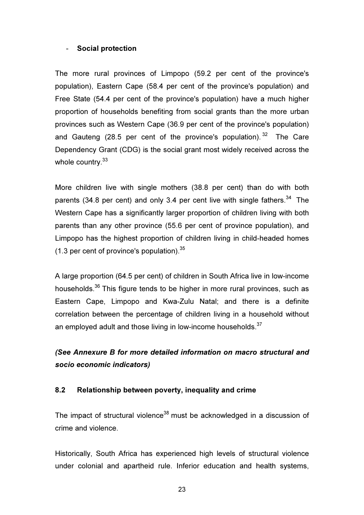#### - Social protection

The more rural provinces of Limpopo (59.2 per cent of the province's population), Eastern Cape (58.4 per cent of the province's population) and Free State (54.4 per cent of the province's population) have a much higher proportion of households benefiting from social grants than the more urban provinces such as Western Cape (36.9 per cent of the province's population) and Gauteng (28.5 per cent of the province's population).  $32$  The Care Dependency Grant (CDG) is the social grant most widely received across the whole country.<sup>33</sup>

More children live with single mothers (38.8 per cent) than do with both parents (34.8 per cent) and only 3.4 per cent live with single fathers.<sup>34</sup> The Western Cape has a significantly larger proportion of children living with both parents than any other province (55.6 per cent of province population), and Limpopo has the highest proportion of children living in child-headed homes  $(1.3 \text{ per cent of province's population})$ .  $35$ 

A large proportion (64.5 per cent) of children in South Africa live in low-income households.<sup>36</sup> This figure tends to be higher in more rural provinces, such as Eastern Cape, Limpopo and Kwa-Zulu Natal; and there is a definite correlation between the percentage of children living in a household without an employed adult and those living in low-income households.<sup>37</sup>

# (See Annexure B for more detailed information on macro structural and socio economic indicators)

#### 8.2 Relationship between poverty, inequality and crime

The impact of structural violence<sup>38</sup> must be acknowledged in a discussion of crime and violence.

Historically, South Africa has experienced high levels of structural violence under colonial and apartheid rule. Inferior education and health systems,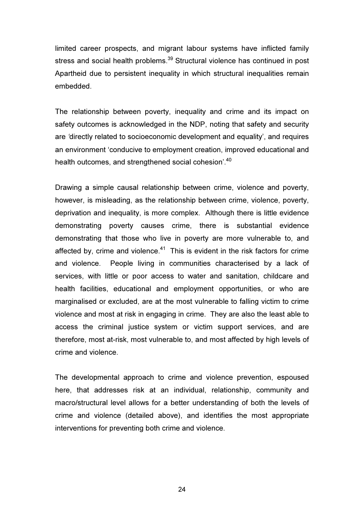limited career prospects, and migrant labour systems have inflicted family stress and social health problems.<sup>39</sup> Structural violence has continued in post Apartheid due to persistent inequality in which structural inequalities remain embedded.

The relationship between poverty, inequality and crime and its impact on safety outcomes is acknowledged in the NDP, noting that safety and security are 'directly related to socioeconomic development and equality', and requires an environment 'conducive to employment creation, improved educational and health outcomes, and strengthened social cohesion<sup>'.40</sup>

Drawing a simple causal relationship between crime, violence and poverty, however, is misleading, as the relationship between crime, violence, poverty, deprivation and inequality, is more complex. Although there is little evidence demonstrating poverty causes crime, there is substantial evidence demonstrating that those who live in poverty are more vulnerable to, and affected by, crime and violence.<sup>41</sup> This is evident in the risk factors for crime and violence. People living in communities characterised by a lack of services, with little or poor access to water and sanitation, childcare and health facilities, educational and employment opportunities, or who are marginalised or excluded, are at the most vulnerable to falling victim to crime violence and most at risk in engaging in crime. They are also the least able to access the criminal justice system or victim support services, and are therefore, most at-risk, most vulnerable to, and most affected by high levels of crime and violence.

The developmental approach to crime and violence prevention, espoused here, that addresses risk at an individual, relationship, community and macro/structural level allows for a better understanding of both the levels of crime and violence (detailed above), and identifies the most appropriate interventions for preventing both crime and violence.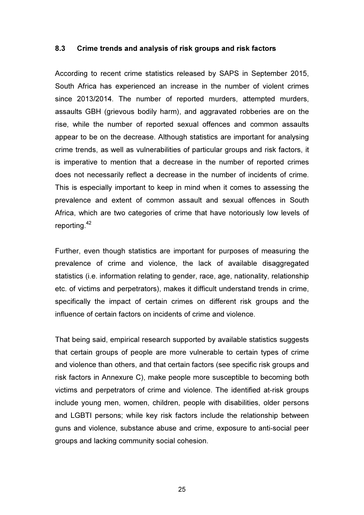#### 8.3 Crime trends and analysis of risk groups and risk factors

According to recent crime statistics released by SAPS in September 2015, South Africa has experienced an increase in the number of violent crimes since 2013/2014. The number of reported murders, attempted murders, assaults GBH (grievous bodily harm), and aggravated robberies are on the rise, while the number of reported sexual offences and common assaults appear to be on the decrease. Although statistics are important for analysing crime trends, as well as vulnerabilities of particular groups and risk factors, it is imperative to mention that a decrease in the number of reported crimes does not necessarily reflect a decrease in the number of incidents of crime. This is especially important to keep in mind when it comes to assessing the prevalence and extent of common assault and sexual offences in South Africa, which are two categories of crime that have notoriously low levels of reporting.<sup>42</sup>

Further, even though statistics are important for purposes of measuring the prevalence of crime and violence, the lack of available disaggregated statistics (i.e. information relating to gender, race, age, nationality, relationship etc. of victims and perpetrators), makes it difficult understand trends in crime, specifically the impact of certain crimes on different risk groups and the influence of certain factors on incidents of crime and violence.

That being said, empirical research supported by available statistics suggests that certain groups of people are more vulnerable to certain types of crime and violence than others, and that certain factors (see specific risk groups and risk factors in Annexure C), make people more susceptible to becoming both victims and perpetrators of crime and violence. The identified at-risk groups include young men, women, children, people with disabilities, older persons and LGBTI persons; while key risk factors include the relationship between guns and violence, substance abuse and crime, exposure to anti-social peer groups and lacking community social cohesion.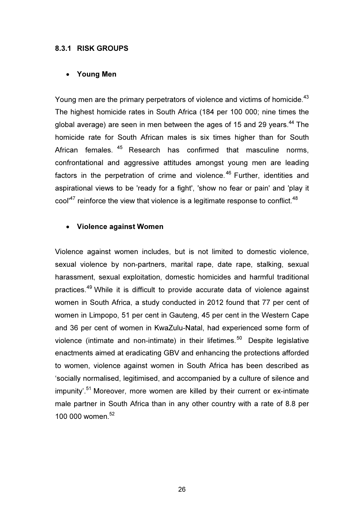#### 8.3.1 RISK GROUPS

#### • Young Men

Young men are the primary perpetrators of violence and victims of homicide.<sup>43</sup> The highest homicide rates in South Africa (184 per 100 000; nine times the global average) are seen in men between the ages of 15 and 29 years.<sup>44</sup> The homicide rate for South African males is six times higher than for South African females. <sup>45</sup> Research has confirmed that masculine norms, confrontational and aggressive attitudes amongst young men are leading factors in the perpetration of crime and violence.<sup>46</sup> Further, identities and aspirational views to be 'ready for a fight', 'show no fear or pain' and 'play it cool' $47$  reinforce the view that violence is a legitimate response to conflict. $48$ 

#### • Violence against Women

Violence against women includes, but is not limited to domestic violence, sexual violence by non-partners, marital rape, date rape, stalking, sexual harassment, sexual exploitation, domestic homicides and harmful traditional practices.<sup>49</sup> While it is difficult to provide accurate data of violence against women in South Africa, a study conducted in 2012 found that 77 per cent of women in Limpopo, 51 per cent in Gauteng, 45 per cent in the Western Cape and 36 per cent of women in KwaZulu-Natal, had experienced some form of violence (intimate and non-intimate) in their lifetimes.<sup>50</sup> Despite legislative enactments aimed at eradicating GBV and enhancing the protections afforded to women, violence against women in South Africa has been described as 'socially normalised, legitimised, and accompanied by a culture of silence and impunity'.<sup>51</sup> Moreover, more women are killed by their current or ex-intimate male partner in South Africa than in any other country with a rate of 8.8 per 100 000 women.<sup>52</sup>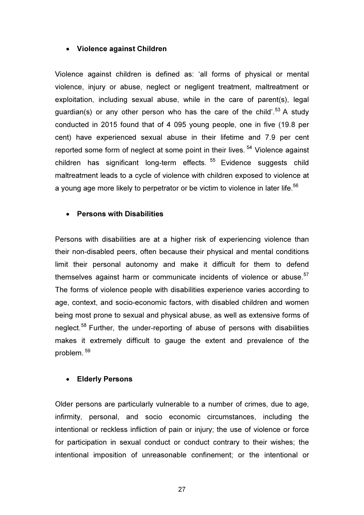# • Violence against Children

Violence against children is defined as: 'all forms of physical or mental violence, injury or abuse, neglect or negligent treatment, maltreatment or exploitation, including sexual abuse, while in the care of parent(s), legal guardian(s) or any other person who has the care of the child'.<sup>53</sup> A study conducted in 2015 found that of 4 095 young people, one in five (19.8 per cent) have experienced sexual abuse in their lifetime and 7.9 per cent reported some form of neglect at some point in their lives.<sup>54</sup> Violence against children has significant long-term effects. <sup>55</sup> Evidence suggests child maltreatment leads to a cycle of violence with children exposed to violence at a young age more likely to perpetrator or be victim to violence in later life. $^{\rm 56}$ 

# • Persons with Disabilities

Persons with disabilities are at a higher risk of experiencing violence than their non-disabled peers, often because their physical and mental conditions limit their personal autonomy and make it difficult for them to defend themselves against harm or communicate incidents of violence or abuse. $57$ The forms of violence people with disabilities experience varies according to age, context, and socio-economic factors, with disabled children and women being most prone to sexual and physical abuse, as well as extensive forms of neglect.<sup>58</sup> Further, the under-reporting of abuse of persons with disabilities makes it extremely difficult to gauge the extent and prevalence of the problem.<sup>59</sup>

#### • Elderly Persons

Older persons are particularly vulnerable to a number of crimes, due to age, infirmity, personal, and socio economic circumstances, including the intentional or reckless infliction of pain or injury; the use of violence or force for participation in sexual conduct or conduct contrary to their wishes; the intentional imposition of unreasonable confinement; or the intentional or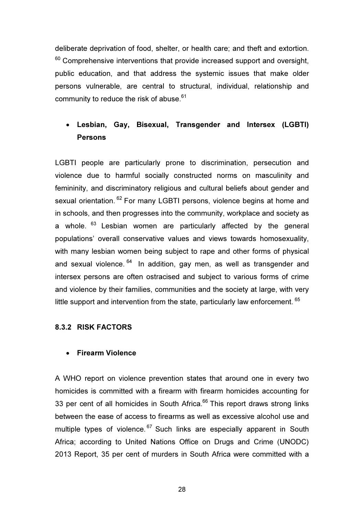deliberate deprivation of food, shelter, or health care; and theft and extortion.  $60$  Comprehensive interventions that provide increased support and oversight, public education, and that address the systemic issues that make older persons vulnerable, are central to structural, individual, relationship and community to reduce the risk of abuse. $61$ 

# • Lesbian, Gay, Bisexual, Transgender and Intersex (LGBTI) Persons

LGBTI people are particularly prone to discrimination, persecution and violence due to harmful socially constructed norms on masculinity and femininity, and discriminatory religious and cultural beliefs about gender and sexual orientation. <sup>62</sup> For many LGBTI persons, violence begins at home and in schools, and then progresses into the community, workplace and society as a whole.<sup>63</sup> Lesbian women are particularly affected by the general populations' overall conservative values and views towards homosexuality, with many lesbian women being subject to rape and other forms of physical and sexual violence.  $64$  In addition, gay men, as well as transgender and intersex persons are often ostracised and subject to various forms of crime and violence by their families, communities and the society at large, with very little support and intervention from the state, particularly law enforcement.  $^{65}$ 

# 8.3.2 RISK FACTORS

# • Firearm Violence

A WHO report on violence prevention states that around one in every two homicides is committed with a firearm with firearm homicides accounting for 33 per cent of all homicides in South Africa. $66$  This report draws strong links between the ease of access to firearms as well as excessive alcohol use and multiple types of violence.<sup>67</sup> Such links are especially apparent in South Africa; according to United Nations Office on Drugs and Crime (UNODC) 2013 Report, 35 per cent of murders in South Africa were committed with a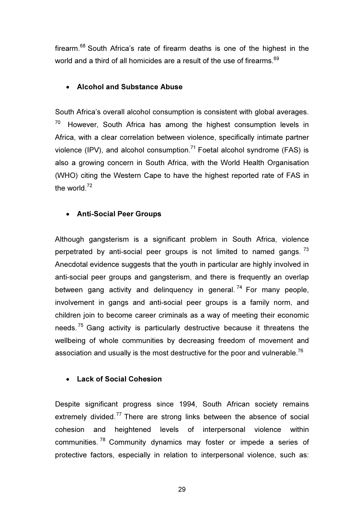firearm.<sup>68</sup> South Africa's rate of firearm deaths is one of the highest in the world and a third of all homicides are a result of the use of firearms. $^{69}$ 

#### • Alcohol and Substance Abuse

South Africa's overall alcohol consumption is consistent with global averages.  $70$  However, South Africa has among the highest consumption levels in Africa, with a clear correlation between violence, specifically intimate partner violence (IPV), and alcohol consumption.<sup>71</sup> Foetal alcohol syndrome (FAS) is also a growing concern in South Africa, with the World Health Organisation (WHO) citing the Western Cape to have the highest reported rate of FAS in the world.<sup>72</sup>

# • Anti-Social Peer Groups

Although gangsterism is a significant problem in South Africa, violence perpetrated by anti-social peer groups is not limited to named gangs.  $^{73}$ Anecdotal evidence suggests that the youth in particular are highly involved in anti-social peer groups and gangsterism, and there is frequently an overlap between gang activity and delinquency in general.  $74$  For many people, involvement in gangs and anti-social peer groups is a family norm, and children join to become career criminals as a way of meeting their economic needs.<sup>75</sup> Gang activity is particularly destructive because it threatens the wellbeing of whole communities by decreasing freedom of movement and association and usually is the most destructive for the poor and vulnerable.<sup>76</sup>

# • Lack of Social Cohesion

Despite significant progress since 1994, South African society remains extremely divided.<sup>77</sup> There are strong links between the absence of social cohesion and heightened levels of interpersonal violence within communities. <sup>78</sup> Community dynamics may foster or impede a series of protective factors, especially in relation to interpersonal violence, such as: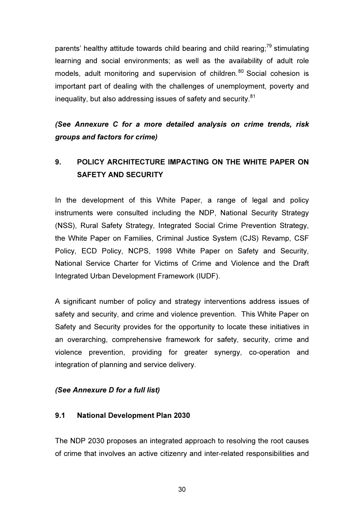parents' healthy attitude towards child bearing and child rearing;<sup>79</sup> stimulating learning and social environments; as well as the availability of adult role models, adult monitoring and supervision of children. <sup>80</sup> Social cohesion is important part of dealing with the challenges of unemployment, poverty and inequality, but also addressing issues of safety and security. $81$ 

(See Annexure C for a more detailed analysis on crime trends, risk groups and factors for crime)

# 9. POLICY ARCHITECTURE IMPACTING ON THE WHITE PAPER ON SAFETY AND SECURITY

In the development of this White Paper, a range of legal and policy instruments were consulted including the NDP, National Security Strategy (NSS), Rural Safety Strategy, Integrated Social Crime Prevention Strategy, the White Paper on Families, Criminal Justice System (CJS) Revamp, CSF Policy, ECD Policy, NCPS, 1998 White Paper on Safety and Security, National Service Charter for Victims of Crime and Violence and the Draft Integrated Urban Development Framework (IUDF).

A significant number of policy and strategy interventions address issues of safety and security, and crime and violence prevention. This White Paper on Safety and Security provides for the opportunity to locate these initiatives in an overarching, comprehensive framework for safety, security, crime and violence prevention, providing for greater synergy, co-operation and integration of planning and service delivery.

#### (See Annexure D for a full list)

#### 9.1 National Development Plan 2030

The NDP 2030 proposes an integrated approach to resolving the root causes of crime that involves an active citizenry and inter-related responsibilities and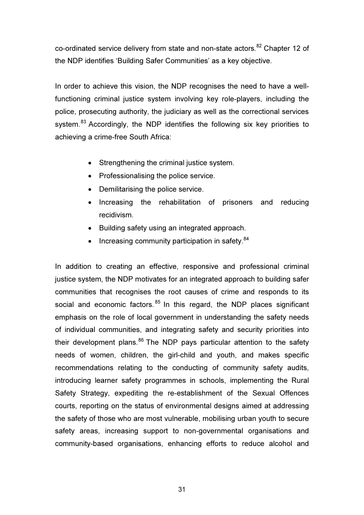co-ordinated service delivery from state and non-state actors.<sup>82</sup> Chapter 12 of the NDP identifies 'Building Safer Communities' as a key objective.

In order to achieve this vision, the NDP recognises the need to have a wellfunctioning criminal justice system involving key role-players, including the police, prosecuting authority, the judiciary as well as the correctional services system.<sup>83</sup> Accordingly, the NDP identifies the following six key priorities to achieving a crime-free South Africa:

- Strengthening the criminal justice system.
- Professionalising the police service.
- Demilitarising the police service.
- Increasing the rehabilitation of prisoners and reducing recidivism.
- Building safety using an integrated approach.
- $\bullet$  Increasing community participation in safety.  $84$

In addition to creating an effective, responsive and professional criminal justice system, the NDP motivates for an integrated approach to building safer communities that recognises the root causes of crime and responds to its social and economic factors.  $85$  In this regard, the NDP places significant emphasis on the role of local government in understanding the safety needs of individual communities, and integrating safety and security priorities into their development plans.<sup>86</sup> The NDP pays particular attention to the safety needs of women, children, the girl-child and youth, and makes specific recommendations relating to the conducting of community safety audits, introducing learner safety programmes in schools, implementing the Rural Safety Strategy, expediting the re-establishment of the Sexual Offences courts, reporting on the status of environmental designs aimed at addressing the safety of those who are most vulnerable, mobilising urban youth to secure safety areas, increasing support to non-governmental organisations and community-based organisations, enhancing efforts to reduce alcohol and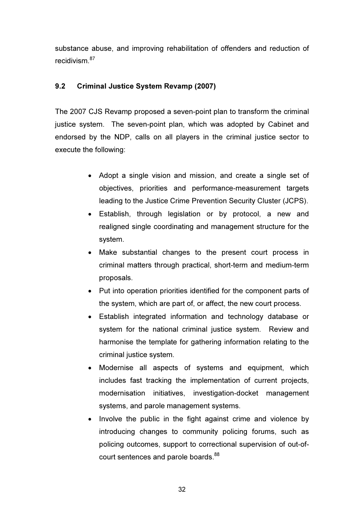substance abuse, and improving rehabilitation of offenders and reduction of recidivism  $87$ 

# 9.2 Criminal Justice System Revamp (2007)

The 2007 CJS Revamp proposed a seven-point plan to transform the criminal justice system. The seven-point plan, which was adopted by Cabinet and endorsed by the NDP, calls on all players in the criminal justice sector to execute the following:

- Adopt a single vision and mission, and create a single set of objectives, priorities and performance-measurement targets leading to the Justice Crime Prevention Security Cluster (JCPS).
- Establish, through legislation or by protocol, a new and realigned single coordinating and management structure for the system.
- Make substantial changes to the present court process in criminal matters through practical, short-term and medium-term proposals.
- Put into operation priorities identified for the component parts of the system, which are part of, or affect, the new court process.
- Establish integrated information and technology database or system for the national criminal justice system. Review and harmonise the template for gathering information relating to the criminal justice system.
- Modernise all aspects of systems and equipment, which includes fast tracking the implementation of current projects, modernisation initiatives, investigation-docket management systems, and parole management systems.
- Involve the public in the fight against crime and violence by introducing changes to community policing forums, such as policing outcomes, support to correctional supervision of out-ofcourt sentences and parole boards.<sup>88</sup>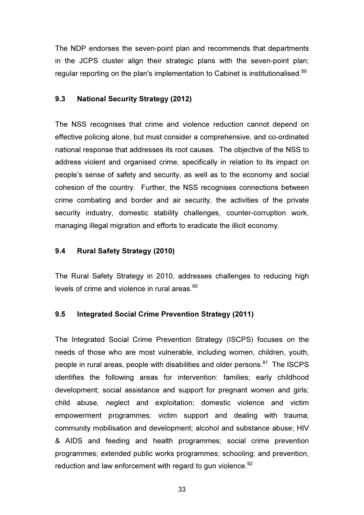The NDP endorses the seven-point plan and recommends that departments in the JCPS cluster align their strategic plans with the seven-point plan; regular reporting on the plan's implementation to Cabinet is institutionalised.<sup>89</sup>

# 9.3 National Security Strategy (2012)

The NSS recognises that crime and violence reduction cannot depend on effective policing alone, but must consider a comprehensive, and co-ordinated national response that addresses its root causes. The objective of the NSS to address violent and organised crime, specifically in relation to its impact on people's sense of safety and security, as well as to the economy and social cohesion of the country. Further, the NSS recognises connections between crime combating and border and air security, the activities of the private security industry, domestic stability challenges, counter-corruption work, managing illegal migration and efforts to eradicate the illicit economy.

#### 9.4 Rural Safety Strategy (2010)

The Rural Safety Strategy in 2010, addresses challenges to reducing high levels of crime and violence in rural areas.<sup>90</sup>

#### 9.5 Integrated Social Crime Prevention Strategy (2011)

The Integrated Social Crime Prevention Strategy (ISCPS) focuses on the needs of those who are most vulnerable, including women, children, youth, people in rural areas, people with disabilities and older persons.<sup>91</sup> The ISCPS identifies the following areas for intervention: families; early childhood development; social assistance and support for pregnant women and girls; child abuse, neglect and exploitation; domestic violence and victim empowerment programmes; victim support and dealing with trauma; community mobilisation and development; alcohol and substance abuse; HIV & AIDS and feeding and health programmes; social crime prevention programmes; extended public works programmes; schooling; and prevention, reduction and law enforcement with regard to gun violence.<sup>92</sup>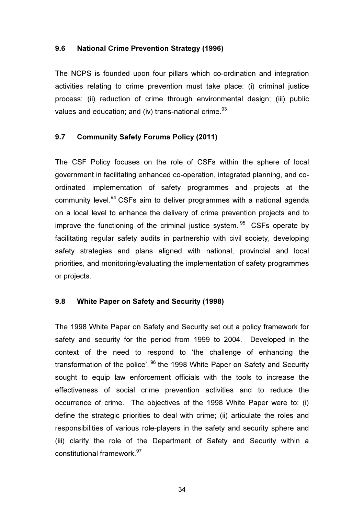#### 9.6 National Crime Prevention Strategy (1996)

The NCPS is founded upon four pillars which co-ordination and integration activities relating to crime prevention must take place: (i) criminal justice process; (ii) reduction of crime through environmental design; (iii) public values and education; and (iv) trans-national crime.<sup>93</sup>

# 9.7 Community Safety Forums Policy (2011)

The CSF Policy focuses on the role of CSFs within the sphere of local government in facilitating enhanced co-operation, integrated planning, and coordinated implementation of safety programmes and projects at the community level.<sup>94</sup> CSFs aim to deliver programmes with a national agenda on a local level to enhance the delivery of crime prevention projects and to improve the functioning of the criminal justice system.  $95$  CSFs operate by facilitating regular safety audits in partnership with civil society, developing safety strategies and plans aligned with national, provincial and local priorities, and monitoring/evaluating the implementation of safety programmes or projects.

#### 9.8 White Paper on Safety and Security (1998)

The 1998 White Paper on Safety and Security set out a policy framework for safety and security for the period from 1999 to 2004. Developed in the context of the need to respond to 'the challenge of enhancing the transformation of the police', <sup>96</sup> the 1998 White Paper on Safety and Security sought to equip law enforcement officials with the tools to increase the effectiveness of social crime prevention activities and to reduce the occurrence of crime. The objectives of the 1998 White Paper were to: (i) define the strategic priorities to deal with crime; (ii) articulate the roles and responsibilities of various role-players in the safety and security sphere and (iii) clarify the role of the Department of Safety and Security within a constitutional framework.<sup>97</sup>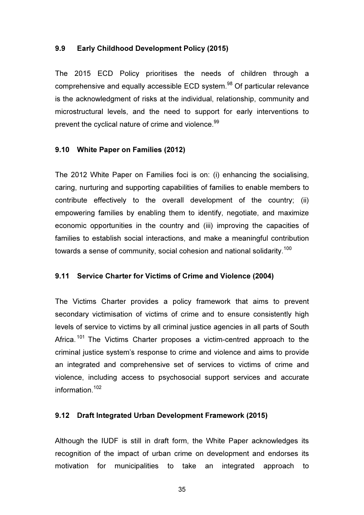#### 9.9 Early Childhood Development Policy (2015)

The 2015 ECD Policy prioritises the needs of children through a comprehensive and equally accessible ECD system.<sup>98</sup> Of particular relevance is the acknowledgment of risks at the individual, relationship, community and microstructural levels, and the need to support for early interventions to prevent the cyclical nature of crime and violence.<sup>99</sup>

#### 9.10 White Paper on Families (2012)

The 2012 White Paper on Families foci is on: (i) enhancing the socialising, caring, nurturing and supporting capabilities of families to enable members to contribute effectively to the overall development of the country; (ii) empowering families by enabling them to identify, negotiate, and maximize economic opportunities in the country and (iii) improving the capacities of families to establish social interactions, and make a meaningful contribution towards a sense of community, social cohesion and national solidarity.<sup>100</sup>

#### 9.11 Service Charter for Victims of Crime and Violence (2004)

The Victims Charter provides a policy framework that aims to prevent secondary victimisation of victims of crime and to ensure consistently high levels of service to victims by all criminal justice agencies in all parts of South Africa.<sup>101</sup> The Victims Charter proposes a victim-centred approach to the criminal justice system's response to crime and violence and aims to provide an integrated and comprehensive set of services to victims of crime and violence, including access to psychosocial support services and accurate information $102$ 

#### 9.12 Draft Integrated Urban Development Framework (2015)

Although the IUDF is still in draft form, the White Paper acknowledges its recognition of the impact of urban crime on development and endorses its motivation for municipalities to take an integrated approach to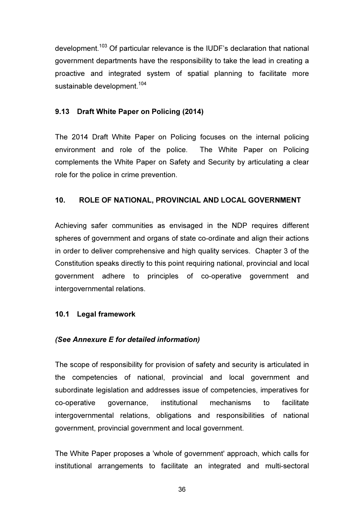development.<sup>103</sup> Of particular relevance is the IUDF's declaration that national government departments have the responsibility to take the lead in creating a proactive and integrated system of spatial planning to facilitate more sustainable development.<sup>104</sup>

## 9.13 Draft White Paper on Policing (2014)

The 2014 Draft White Paper on Policing focuses on the internal policing environment and role of the police. The White Paper on Policing complements the White Paper on Safety and Security by articulating a clear role for the police in crime prevention.

# 10. ROLE OF NATIONAL, PROVINCIAL AND LOCAL GOVERNMENT

Achieving safer communities as envisaged in the NDP requires different spheres of government and organs of state co-ordinate and align their actions in order to deliver comprehensive and high quality services. Chapter 3 of the Constitution speaks directly to this point requiring national, provincial and local government adhere to principles of co-operative government and intergovernmental relations.

#### 10.1 Legal framework

# (See Annexure E for detailed information)

The scope of responsibility for provision of safety and security is articulated in the competencies of national, provincial and local government and subordinate legislation and addresses issue of competencies, imperatives for co-operative governance, institutional mechanisms to facilitate intergovernmental relations, obligations and responsibilities of national government, provincial government and local government.

The White Paper proposes a 'whole of government' approach, which calls for institutional arrangements to facilitate an integrated and multi-sectoral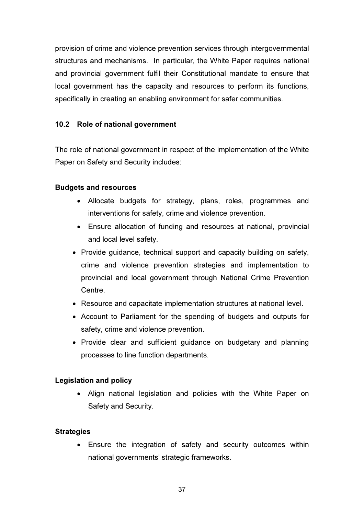provision of crime and violence prevention services through intergovernmental structures and mechanisms. In particular, the White Paper requires national and provincial government fulfil their Constitutional mandate to ensure that local government has the capacity and resources to perform its functions, specifically in creating an enabling environment for safer communities.

# 10.2 Role of national government

The role of national government in respect of the implementation of the White Paper on Safety and Security includes:

#### Budgets and resources

- Allocate budgets for strategy, plans, roles, programmes and interventions for safety, crime and violence prevention.
- Ensure allocation of funding and resources at national, provincial and local level safety.
- Provide guidance, technical support and capacity building on safety, crime and violence prevention strategies and implementation to provincial and local government through National Crime Prevention Centre.
- Resource and capacitate implementation structures at national level.
- Account to Parliament for the spending of budgets and outputs for safety, crime and violence prevention.
- Provide clear and sufficient guidance on budgetary and planning processes to line function departments.

#### Legislation and policy

• Align national legislation and policies with the White Paper on Safety and Security.

#### **Strategies**

• Ensure the integration of safety and security outcomes within national governments' strategic frameworks.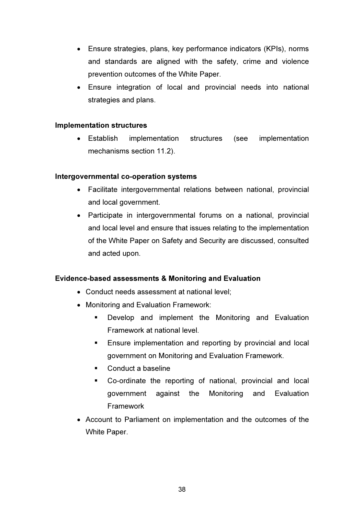- Ensure strategies, plans, key performance indicators (KPIs), norms and standards are aligned with the safety, crime and violence prevention outcomes of the White Paper.
- Ensure integration of local and provincial needs into national strategies and plans.

#### Implementation structures

• Establish implementation structures (see implementation mechanisms section 11.2).

#### Intergovernmental co-operation systems

- Facilitate intergovernmental relations between national, provincial and local government.
- Participate in intergovernmental forums on a national, provincial and local level and ensure that issues relating to the implementation of the White Paper on Safety and Security are discussed, consulted and acted upon.

#### Evidence-based assessments & Monitoring and Evaluation

- Conduct needs assessment at national level;
- Monitoring and Evaluation Framework:
	- **Develop and implement the Monitoring and Evaluation** Framework at national level.
	- **Ensure implementation and reporting by provincial and local** government on Monitoring and Evaluation Framework.
	- Conduct a baseline
	- Co-ordinate the reporting of national, provincial and local government against the Monitoring and Evaluation Framework
- Account to Parliament on implementation and the outcomes of the White Paper.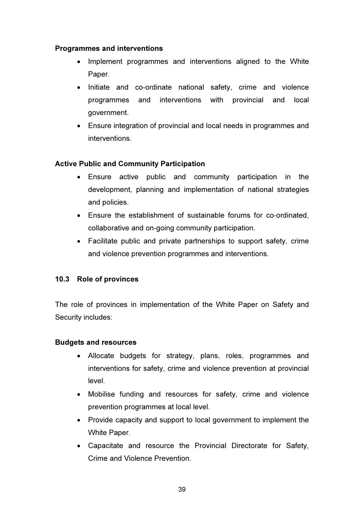# Programmes and interventions

- Implement programmes and interventions aligned to the White Paper.
- Initiate and co-ordinate national safety, crime and violence programmes and interventions with provincial and local government.
- Ensure integration of provincial and local needs in programmes and interventions.

# Active Public and Community Participation

- Ensure active public and community participation in the development, planning and implementation of national strategies and policies.
- Ensure the establishment of sustainable forums for co-ordinated, collaborative and on-going community participation.
- Facilitate public and private partnerships to support safety, crime and violence prevention programmes and interventions.

# 10.3 Role of provinces

The role of provinces in implementation of the White Paper on Safety and Security includes:

#### Budgets and resources

- Allocate budgets for strategy, plans, roles, programmes and interventions for safety, crime and violence prevention at provincial level.
- Mobilise funding and resources for safety, crime and violence prevention programmes at local level.
- Provide capacity and support to local government to implement the White Paper.
- Capacitate and resource the Provincial Directorate for Safety, Crime and Violence Prevention.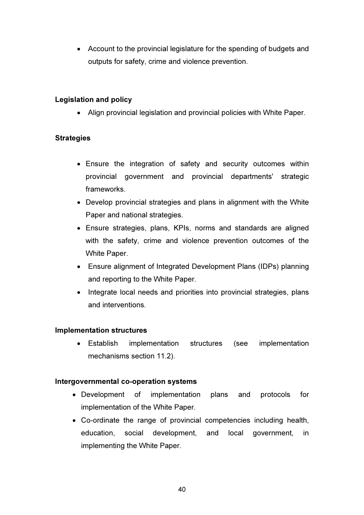• Account to the provincial legislature for the spending of budgets and outputs for safety, crime and violence prevention.

# Legislation and policy

• Align provincial legislation and provincial policies with White Paper.

# **Strategies**

- Ensure the integration of safety and security outcomes within provincial government and provincial departments' strategic frameworks.
- Develop provincial strategies and plans in alignment with the White Paper and national strategies.
- Ensure strategies, plans, KPIs, norms and standards are aligned with the safety, crime and violence prevention outcomes of the White Paper.
- Ensure alignment of Integrated Development Plans (IDPs) planning and reporting to the White Paper.
- Integrate local needs and priorities into provincial strategies, plans and interventions.

#### Implementation structures

• Establish implementation structures (see implementation mechanisms section 11.2).

#### Intergovernmental co-operation systems

- Development of implementation plans and protocols for implementation of the White Paper.
- Co-ordinate the range of provincial competencies including health, education, social development, and local government, in implementing the White Paper.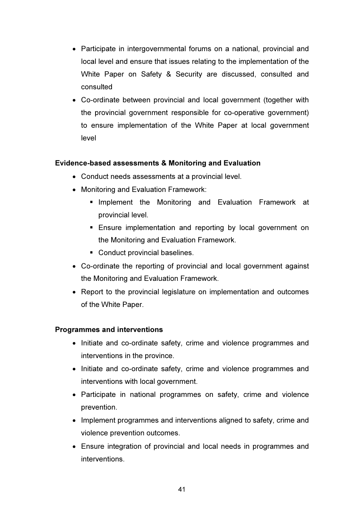- Participate in intergovernmental forums on a national, provincial and local level and ensure that issues relating to the implementation of the White Paper on Safety & Security are discussed, consulted and consulted
- Co-ordinate between provincial and local government (together with the provincial government responsible for co-operative government) to ensure implementation of the White Paper at local government level

# Evidence-based assessments & Monitoring and Evaluation

- Conduct needs assessments at a provincial level.
- Monitoring and Evaluation Framework:
	- **Implement the Monitoring and Evaluation Framework at** provincial level.
	- **Ensure implementation and reporting by local government on** the Monitoring and Evaluation Framework.
	- **Conduct provincial baselines.**
- Co-ordinate the reporting of provincial and local government against the Monitoring and Evaluation Framework.
- Report to the provincial legislature on implementation and outcomes of the White Paper.

# Programmes and interventions

- Initiate and co-ordinate safety, crime and violence programmes and interventions in the province.
- Initiate and co-ordinate safety, crime and violence programmes and interventions with local government.
- Participate in national programmes on safety, crime and violence prevention.
- Implement programmes and interventions aligned to safety, crime and violence prevention outcomes.
- Ensure integration of provincial and local needs in programmes and interventions.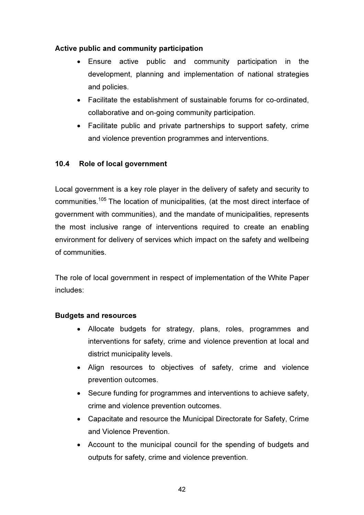# Active public and community participation

- Ensure active public and community participation in the development, planning and implementation of national strategies and policies.
- Facilitate the establishment of sustainable forums for co-ordinated, collaborative and on-going community participation.
- Facilitate public and private partnerships to support safety, crime and violence prevention programmes and interventions.

# 10.4 Role of local government

Local government is a key role player in the delivery of safety and security to communities.<sup>105</sup> The location of municipalities, (at the most direct interface of government with communities), and the mandate of municipalities, represents the most inclusive range of interventions required to create an enabling environment for delivery of services which impact on the safety and wellbeing of communities.

The role of local government in respect of implementation of the White Paper includes:

# Budgets and resources

- Allocate budgets for strategy, plans, roles, programmes and interventions for safety, crime and violence prevention at local and district municipality levels.
- Align resources to objectives of safety, crime and violence prevention outcomes.
- Secure funding for programmes and interventions to achieve safety, crime and violence prevention outcomes.
- Capacitate and resource the Municipal Directorate for Safety, Crime and Violence Prevention.
- Account to the municipal council for the spending of budgets and outputs for safety, crime and violence prevention.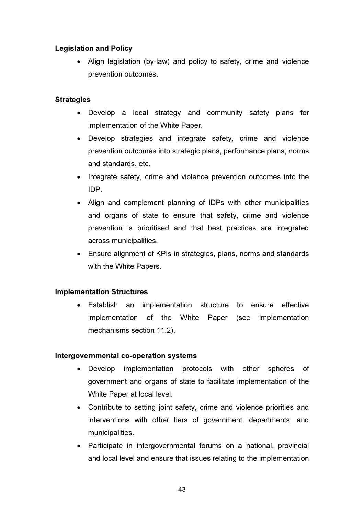# Legislation and Policy

• Align legislation (by-law) and policy to safety, crime and violence prevention outcomes.

#### **Strategies**

- Develop a local strategy and community safety plans for implementation of the White Paper.
- Develop strategies and integrate safety, crime and violence prevention outcomes into strategic plans, performance plans, norms and standards, etc.
- Integrate safety, crime and violence prevention outcomes into the IDP.
- Align and complement planning of IDPs with other municipalities and organs of state to ensure that safety, crime and violence prevention is prioritised and that best practices are integrated across municipalities.
- Ensure alignment of KPIs in strategies, plans, norms and standards with the White Papers.

#### Implementation Structures

• Establish an implementation structure to ensure effective implementation of the White Paper (see implementation mechanisms section 11.2).

#### Intergovernmental co-operation systems

- Develop implementation protocols with other spheres of government and organs of state to facilitate implementation of the White Paper at local level.
- Contribute to setting joint safety, crime and violence priorities and interventions with other tiers of government, departments, and municipalities.
- Participate in intergovernmental forums on a national, provincial and local level and ensure that issues relating to the implementation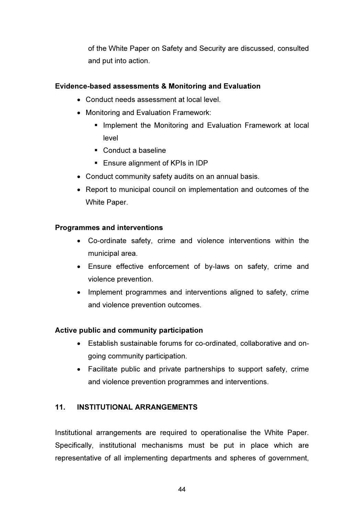of the White Paper on Safety and Security are discussed, consulted and put into action.

# Evidence-based assessments & Monitoring and Evaluation

- Conduct needs assessment at local level.
- Monitoring and Evaluation Framework:
	- **Implement the Monitoring and Evaluation Framework at local** level
	- Conduct a baseline
	- **Ensure alignment of KPIs in IDP**
- Conduct community safety audits on an annual basis.
- Report to municipal council on implementation and outcomes of the White Paper.

# Programmes and interventions

- Co-ordinate safety, crime and violence interventions within the municipal area.
- Ensure effective enforcement of by-laws on safety, crime and violence prevention.
- Implement programmes and interventions aligned to safety, crime and violence prevention outcomes.

# Active public and community participation

- Establish sustainable forums for co-ordinated, collaborative and ongoing community participation.
- Facilitate public and private partnerships to support safety, crime and violence prevention programmes and interventions.

# 11. INSTITUTIONAL ARRANGEMENTS

Institutional arrangements are required to operationalise the White Paper. Specifically, institutional mechanisms must be put in place which are representative of all implementing departments and spheres of government,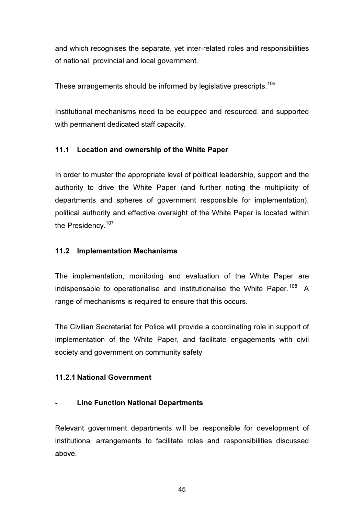and which recognises the separate, yet inter-related roles and responsibilities of national, provincial and local government.

These arrangements should be informed by legislative prescripts.<sup>106</sup>

Institutional mechanisms need to be equipped and resourced, and supported with permanent dedicated staff capacity.

# 11.1 Location and ownership of the White Paper

In order to muster the appropriate level of political leadership, support and the authority to drive the White Paper (and further noting the multiplicity of departments and spheres of government responsible for implementation), political authority and effective oversight of the White Paper is located within the Presidency.<sup>107</sup>

# 11.2 Implementation Mechanisms

The implementation, monitoring and evaluation of the White Paper are indispensable to operationalise and institutionalise the White Paper.<sup>108</sup> A range of mechanisms is required to ensure that this occurs.

The Civilian Secretariat for Police will provide a coordinating role in support of implementation of the White Paper, and facilitate engagements with civil society and government on community safety

# 11.2.1 National Government

# - Line Function National Departments

Relevant government departments will be responsible for development of institutional arrangements to facilitate roles and responsibilities discussed above.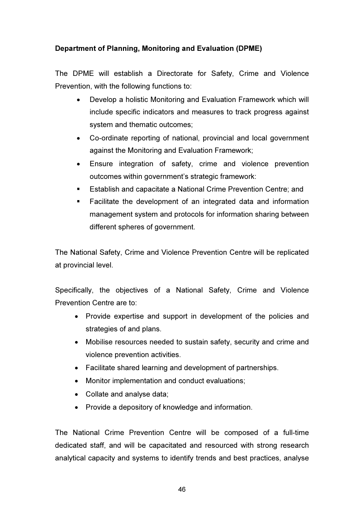# Department of Planning, Monitoring and Evaluation (DPME)

The DPME will establish a Directorate for Safety, Crime and Violence Prevention, with the following functions to:

- Develop a holistic Monitoring and Evaluation Framework which will include specific indicators and measures to track progress against system and thematic outcomes;
- Co-ordinate reporting of national, provincial and local government against the Monitoring and Evaluation Framework;
- Ensure integration of safety, crime and violence prevention outcomes within government's strategic framework:
- Establish and capacitate a National Crime Prevention Centre; and
- Facilitate the development of an integrated data and information management system and protocols for information sharing between different spheres of government.

The National Safety, Crime and Violence Prevention Centre will be replicated at provincial level.

Specifically, the objectives of a National Safety, Crime and Violence Prevention Centre are to:

- Provide expertise and support in development of the policies and strategies of and plans.
- Mobilise resources needed to sustain safety, security and crime and violence prevention activities.
- Facilitate shared learning and development of partnerships.
- Monitor implementation and conduct evaluations;
- Collate and analyse data;
- Provide a depository of knowledge and information.

The National Crime Prevention Centre will be composed of a full-time dedicated staff, and will be capacitated and resourced with strong research analytical capacity and systems to identify trends and best practices, analyse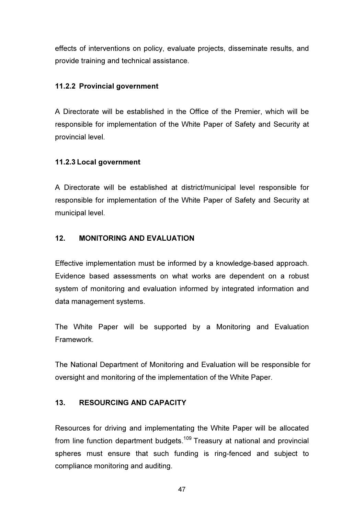effects of interventions on policy, evaluate projects, disseminate results, and provide training and technical assistance.

# 11.2.2 Provincial government

A Directorate will be established in the Office of the Premier, which will be responsible for implementation of the White Paper of Safety and Security at provincial level.

# 11.2.3 Local government

A Directorate will be established at district/municipal level responsible for responsible for implementation of the White Paper of Safety and Security at municipal level.

# 12. MONITORING AND EVALUATION

Effective implementation must be informed by a knowledge-based approach. Evidence based assessments on what works are dependent on a robust system of monitoring and evaluation informed by integrated information and data management systems.

The White Paper will be supported by a Monitoring and Evaluation Framework.

The National Department of Monitoring and Evaluation will be responsible for oversight and monitoring of the implementation of the White Paper.

# 13. RESOURCING AND CAPACITY

Resources for driving and implementating the White Paper will be allocated from line function department budgets.<sup>109</sup> Treasury at national and provincial spheres must ensure that such funding is ring-fenced and subject to compliance monitoring and auditing.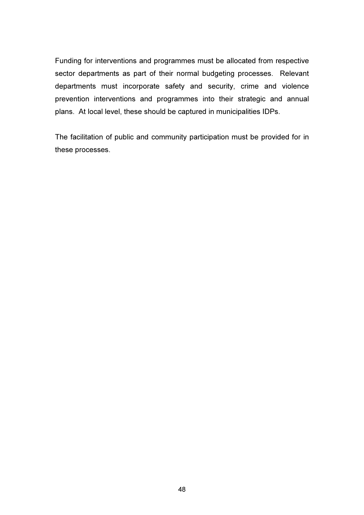Funding for interventions and programmes must be allocated from respective sector departments as part of their normal budgeting processes. Relevant departments must incorporate safety and security, crime and violence prevention interventions and programmes into their strategic and annual plans. At local level, these should be captured in municipalities IDPs.

The facilitation of public and community participation must be provided for in these processes.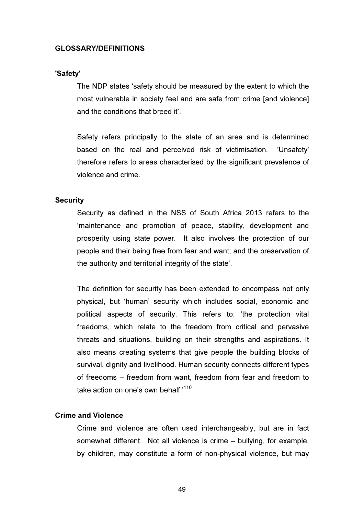#### GLOSSARY/DEFINITIONS

#### 'Safety'

The NDP states 'safety should be measured by the extent to which the most vulnerable in society feel and are safe from crime [and violence] and the conditions that breed it'.

Safety refers principally to the state of an area and is determined based on the real and perceived risk of victimisation. 'Unsafety' therefore refers to areas characterised by the significant prevalence of violence and crime.

#### **Security**

Security as defined in the NSS of South Africa 2013 refers to the 'maintenance and promotion of peace, stability, development and prosperity using state power. It also involves the protection of our people and their being free from fear and want; and the preservation of the authority and territorial integrity of the state'.

The definition for security has been extended to encompass not only physical, but 'human' security which includes social, economic and political aspects of security. This refers to: 'the protection vital freedoms, which relate to the freedom from critical and pervasive threats and situations, building on their strengths and aspirations. It also means creating systems that give people the building blocks of survival, dignity and livelihood. Human security connects different types of freedoms – freedom from want, freedom from fear and freedom to take action on one's own behalf<sup>110</sup>

#### Crime and Violence

Crime and violence are often used interchangeably, but are in fact somewhat different. Not all violence is crime – bullying, for example, by children, may constitute a form of non-physical violence, but may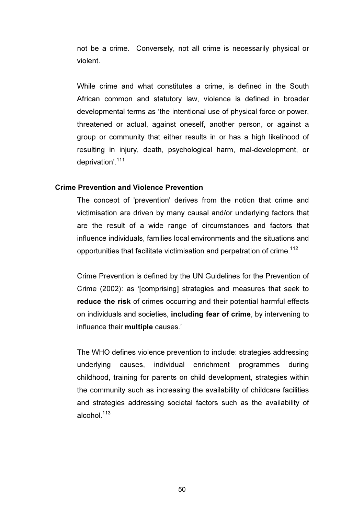not be a crime. Conversely, not all crime is necessarily physical or violent.

While crime and what constitutes a crime, is defined in the South African common and statutory law, violence is defined in broader developmental terms as 'the intentional use of physical force or power, threatened or actual, against oneself, another person, or against a group or community that either results in or has a high likelihood of resulting in injury, death, psychological harm, mal-development, or deprivation'.<sup>111</sup>

#### Crime Prevention and Violence Prevention

The concept of 'prevention' derives from the notion that crime and victimisation are driven by many causal and/or underlying factors that are the result of a wide range of circumstances and factors that influence individuals, families local environments and the situations and opportunities that facilitate victimisation and perpetration of crime.<sup>112</sup>

Crime Prevention is defined by the UN Guidelines for the Prevention of Crime (2002): as '[comprising] strategies and measures that seek to reduce the risk of crimes occurring and their potential harmful effects on individuals and societies, including fear of crime, by intervening to influence their multiple causes.'

The WHO defines violence prevention to include: strategies addressing underlying causes, individual enrichment programmes during childhood, training for parents on child development, strategies within the community such as increasing the availability of childcare facilities and strategies addressing societal factors such as the availability of alcohol. $113$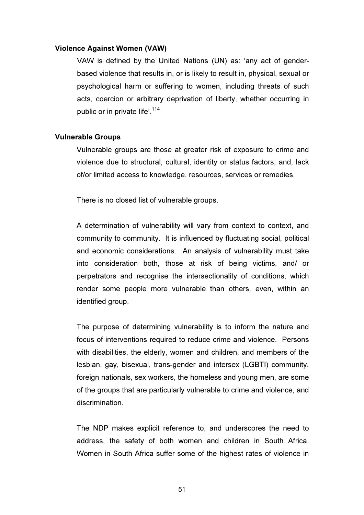#### Violence Against Women (VAW)

VAW is defined by the United Nations (UN) as: 'any act of genderbased violence that results in, or is likely to result in, physical, sexual or psychological harm or suffering to women, including threats of such acts, coercion or arbitrary deprivation of liberty, whether occurring in public or in private life'.<sup>114</sup>

#### Vulnerable Groups

Vulnerable groups are those at greater risk of exposure to crime and violence due to structural, cultural, identity or status factors; and, lack of/or limited access to knowledge, resources, services or remedies.

There is no closed list of vulnerable groups.

A determination of vulnerability will vary from context to context, and community to community. It is influenced by fluctuating social, political and economic considerations. An analysis of vulnerability must take into consideration both, those at risk of being victims, and/ or perpetrators and recognise the intersectionality of conditions, which render some people more vulnerable than others, even, within an identified group.

The purpose of determining vulnerability is to inform the nature and focus of interventions required to reduce crime and violence. Persons with disabilities, the elderly, women and children, and members of the lesbian, gay, bisexual, trans-gender and intersex (LGBTI) community, foreign nationals, sex workers, the homeless and young men, are some of the groups that are particularly vulnerable to crime and violence, and discrimination.

The NDP makes explicit reference to, and underscores the need to address, the safety of both women and children in South Africa. Women in South Africa suffer some of the highest rates of violence in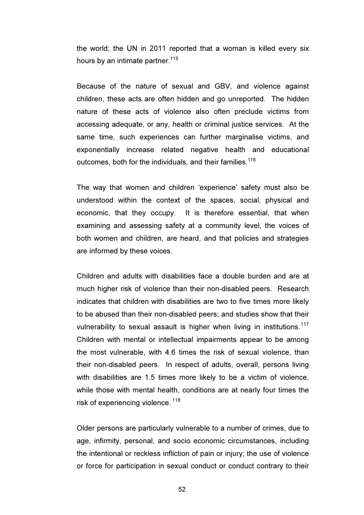the world; the UN in 2011 reported that a woman is killed every six hours by an intimate partner.  $115$ 

Because of the nature of sexual and GBV, and violence against children, these acts are often hidden and go unreported. The hidden nature of these acts of violence also often preclude victims from accessing adequate, or any, health or criminal justice services. At the same time, such experiences can further marginalise victims, and exponentially increase related negative health and educational outcomes, both for the individuals, and their families.<sup>116</sup>

The way that women and children 'experience' safety must also be understood within the context of the spaces, social, physical and economic, that they occupy. It is therefore essential, that when examining and assessing safety at a community level, the voices of both women and children, are heard, and that policies and strategies are informed by these voices.

Children and adults with disabilities face a double burden and are at much higher risk of violence than their non-disabled peers. Research indicates that children with disabilities are two to five times more likely to be abused than their non-disabled peers; and studies show that their vulnerability to sexual assault is higher when living in institutions. $117$ Children with mental or intellectual impairments appear to be among the most vulnerable, with 4.6 times the risk of sexual violence, than their non-disabled peers. In respect of adults, overall, persons living with disabilities are 1.5 times more likely to be a victim of violence, while those with mental health, conditions are at nearly four times the risk of experiencing violence.<sup>118</sup>

Older persons are particularly vulnerable to a number of crimes, due to age, infirmity, personal, and socio economic circumstances, including the intentional or reckless infliction of pain or injury; the use of violence or force for participation in sexual conduct or conduct contrary to their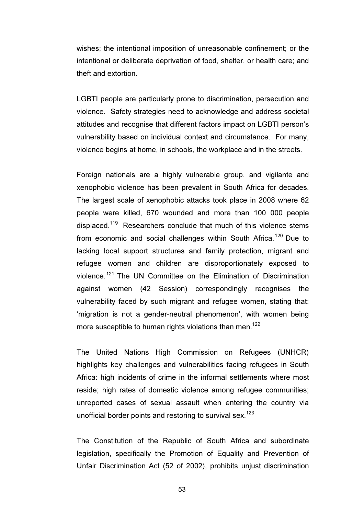wishes; the intentional imposition of unreasonable confinement; or the intentional or deliberate deprivation of food, shelter, or health care; and theft and extortion.

LGBTI people are particularly prone to discrimination, persecution and violence. Safety strategies need to acknowledge and address societal attitudes and recognise that different factors impact on LGBTI person's vulnerability based on individual context and circumstance. For many, violence begins at home, in schools, the workplace and in the streets.

Foreign nationals are a highly vulnerable group, and vigilante and xenophobic violence has been prevalent in South Africa for decades. The largest scale of xenophobic attacks took place in 2008 where 62 people were killed, 670 wounded and more than 100 000 people displaced.<sup>119</sup> Researchers conclude that much of this violence stems from economic and social challenges within South Africa.<sup>120</sup> Due to lacking local support structures and family protection, migrant and refugee women and children are disproportionately exposed to violence.<sup>121</sup> The UN Committee on the Elimination of Discrimination against women (42 Session) correspondingly recognises the vulnerability faced by such migrant and refugee women, stating that: 'migration is not a gender-neutral phenomenon', with women being more susceptible to human rights violations than men. 122

The United Nations High Commission on Refugees (UNHCR) highlights key challenges and vulnerabilities facing refugees in South Africa: high incidents of crime in the informal settlements where most reside; high rates of domestic violence among refugee communities; unreported cases of sexual assault when entering the country via unofficial border points and restoring to survival sex.<sup>123</sup>

The Constitution of the Republic of South Africa and subordinate legislation, specifically the Promotion of Equality and Prevention of Unfair Discrimination Act (52 of 2002), prohibits unjust discrimination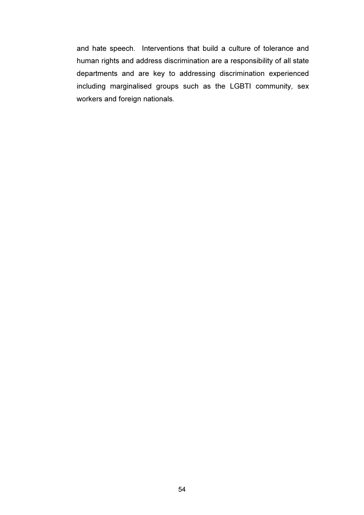and hate speech. Interventions that build a culture of tolerance and human rights and address discrimination are a responsibility of all state departments and are key to addressing discrimination experienced including marginalised groups such as the LGBTI community, sex workers and foreign nationals.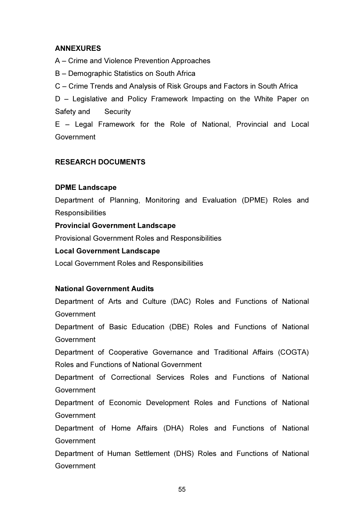# ANNEXURES

A – Crime and Violence Prevention Approaches

B – Demographic Statistics on South Africa

C – Crime Trends and Analysis of Risk Groups and Factors in South Africa

D – Legislative and Policy Framework Impacting on the White Paper on Safety and Security

E – Legal Framework for the Role of National, Provincial and Local Government

# RESEARCH DOCUMENTS

# DPME Landscape

Department of Planning, Monitoring and Evaluation (DPME) Roles and **Responsibilities** 

# Provincial Government Landscape

Provisional Government Roles and Responsibilities

# Local Government Landscape

Local Government Roles and Responsibilities

# National Government Audits

Government

Department of Arts and Culture (DAC) Roles and Functions of National Government Department of Basic Education (DBE) Roles and Functions of National Government Department of Cooperative Governance and Traditional Affairs (COGTA) Roles and Functions of National Government Department of Correctional Services Roles and Functions of National Government Department of Economic Development Roles and Functions of National Government Department of Home Affairs (DHA) Roles and Functions of National Government Department of Human Settlement (DHS) Roles and Functions of National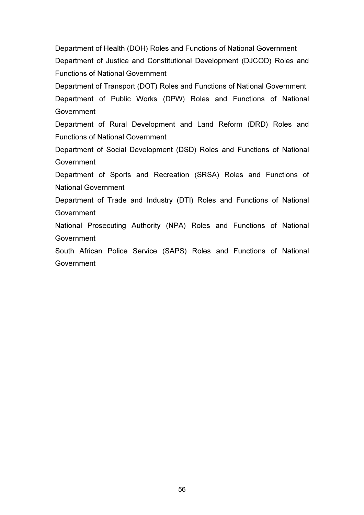Department of Health (DOH) Roles and Functions of National Government Department of Justice and Constitutional Development (DJCOD) Roles and Functions of National Government

Department of Transport (DOT) Roles and Functions of National Government Department of Public Works (DPW) Roles and Functions of National Government

Department of Rural Development and Land Reform (DRD) Roles and Functions of National Government

Department of Social Development (DSD) Roles and Functions of National **Government** 

Department of Sports and Recreation (SRSA) Roles and Functions of National Government

Department of Trade and Industry (DTI) Roles and Functions of National Government

National Prosecuting Authority (NPA) Roles and Functions of National Government

South African Police Service (SAPS) Roles and Functions of National Government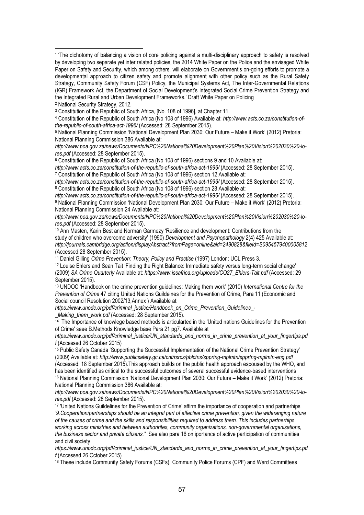l.

5 National Planning Commission 'National Development Plan 2030: Our Future – Make it Work' (2012) Pretoria: National Planning Commission 386 Available at:

*http://www.poa.gov.za/news/Documents/NPC%20National%20Development%20Plan%20Vision%202030%20-lores.pdf* (Accessed: 28 September 2015).

<sup>6</sup> Constitution of the Republic of South Africa (No 108 of 1996) sections 9 and 10 Available at:

*http://www.acts.co.za/constitution-of-the-republic-of-south-africa-act-1996/* (Accessed: 28 September 2015). <sup>7</sup> Constitution of the Republic of South Africa (No 108 of 1996) section 12 Available at:

*http://www.acts.co.za/constitution-of-the-republic-of-south-africa-act-1996/* (Accessed: 28 September 2015). <sup>8</sup> Constitution of the Republic of South Africa (No 108 of 1996) section 28 Available at:

*http://www.acts.co.za/constitution-of-the-republic-of-south-africa-act-1996/* (Accessed: 28 September 2015). <sup>9</sup> National Planning Commission 'National Development Plan 2030: Our Future – Make it Work' (2012) Pretoria: National Planning Commission 24 Available at:

*http://www.poa.gov.za/news/Documents/NPC%20National%20Development%20Plan%20Vision%202030%20-lores.pdf* (Accessed: 28 September 2015).

<sup>10</sup> Ann Masten, Karin Best and Norman Garmezy 'Resilience and development: Contributions from the study of children who overcome adversity' (1990) *Development and Psychopathology* 2(4) 425 Available at: *http://journals.cambridge.org/action/displayAbstract?fromPage=online&aid=2490828&fileId=S0954579400005812* (Accessed:28 September 2015).

<sup>11</sup> Daniel Gilling *Crime Prevention: Theory, Policy and Practise* (1997) London: UCL Press 3.

<sup>12</sup> Louise Ehlers and Sean Tait 'Finding the Right Balance: Immediate safety versus long-term social change' (2009) *SA Crime Quarterly* Available at: *https://www.issafrica.org/uploads/CQ27\_Ehlers-Tait.pdf* (Accessed: 29 September 2015).

<sup>13</sup> UNDOC 'Handbook on the crime prevention guidelines: Making them work' (2010) *International Centre for the Prevention of Crime* 47 citing United Nations Guildeines for the Prevention of Crime, Para 11 (Economic and Social council Resolution 2002/13,Annex ) Available at:

*https://www.unodc.org/pdf/criminal\_justice/Handbook\_on\_Crime\_Prevention\_Guidelines\_-*

*\_Making\_them\_work.pdf* (Accessed: 28 September 2015).

<sup>14</sup> The Importance of knowlege based methods is articularted in the 'United nations Guidelines for the Prevention of Crime' seee B.Methods Knowledge base Para 21 pg7. Available at

*https://www.unodc.org/pdf/criminal\_justice/UN\_standards\_and\_norms\_in\_crime\_prevention\_at\_your\_fingertips.pd f* (Accessed 26 October 2015)

<sup>15</sup> Public Safety Canada 'Supporting the Successful Implementation of the National Crime Prevention Strategy' (2009) Available at*: http://www.publicsafety.gc.ca/cnt/rsrcs/pblctns/spprtng-mplmtn/spprtng-mplmtn-eng.pdf* (Accessed: 18 September 2015).This approach builds on the public health approach espoused by the WHO, and has been identified as critical to the successful outcomes of several successful evidence-based interventions <sup>16</sup> National Planning Commission 'National Development Plan 2030: Our Future – Make it Work' (2012) Pretoria: National Planning Commission 386 Available at:

*http://www.poa.gov.za/news/Documents/NPC%20National%20Development%20Plan%20Vision%202030%20-lores.pdf* (Accessed: 28 September 2015).

<sup>17</sup> 'United Nations Guildelines for the Prevention of Crime' affirm the importance of cooperation and partnerhips *'9.Cooperation/partnerships should be an integral part of effective crime prevention, given the wideranging nature of the causes of crime and the skills and responsibilities required to address them. This includes partnerhips working across ministries and between authorirites, community organizations, non-governmental organisations, the business sector and private citizens."* See also para 16 on iportance of active participation of communities and civil society

*https://www.unodc.org/pdf/criminal\_justice/UN\_standards\_and\_norms\_in\_crime\_prevention\_at\_your\_fingertips.pd f* (Accessed 26 October 2015)

<sup>18</sup> These include Community Safety Forums (CSFs), Community Police Forums (CPF) and Ward Committees

<sup>&</sup>lt;sup>1</sup> 'The dichotomy of balancing a vision of core policing against a multi-disciplinary approach to safety is resolved by developing two separate yet inter related policies, the 2014 White Paper on the Police and the envisaged White Paper on Safety and Security, which among others, will elaborate on Government's on-going efforts to promote a developmental approach to citizen safety and promote alignment with other policy such as the Rural Safety Strategy, Community Safety Forum (CSF) Policy, the Municipal Systems Act, The Inter-Governmental Relations (IGR) Framework Act, the Department of Social Development's Integrated Social Crime Prevention Strategy and the Integrated Rural and Urban Development Frameworks.' Draft White Paper on Policing

<sup>2</sup> National Security Strategy, 2012.

<sup>&</sup>lt;sup>3</sup> Constitution of the Republic of South Africa, [No. 108 of 1996], at Chapter 11.

<sup>4</sup> Constitution of the Republic of South Africa (No 108 of 1996) Available at: *http://www.acts.co.za/constitution-ofthe-republic-of-south-africa-act-1996/* (Accessed: 28 September 2015).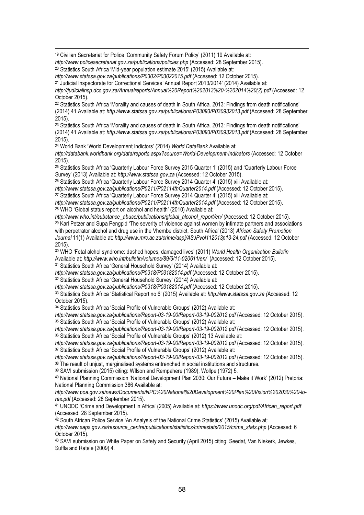<sup>19</sup> Civilian Secretariat for Police 'Community Safety Forum Policy' (2011) 19 Available at: *http://www.policesecretariat.gov.za/publications/policies.php* (Accessed: 28 September 2015).

<sup>20</sup> Statistics South Africa 'Mid-year population estimate 2015' (2015) Available at:

l.

*http://www.statssa.gov.za/publications/P0302/P03022015.pdf* (Accessed: 12 October 2015).

<sup>21</sup> Judicial Inspectorate for Correctional Services 'Annual Report 2013/2014' (2014) Available at: *http://judicialinsp.dcs.gov.za/Annualreports/Annual%20Report%202013%20-%202014%20(2).pdf* (Accessed: 12 October 2015).

<sup>22</sup> Statistics South Africa 'Morality and causes of death in South Africa. 2013: Findings from death notifications' (2014) 41 Available at: *http://www.statssa.gov.za/publications/P03093/P030932013.pdf* (Accessed: 28 September 2015).

<sup>23</sup> Statistics South Africa 'Morality and causes of death in South Africa. 2013: Findings from death notifications' (2014) 41 Available at: *http://www.statssa.gov.za/publications/P03093/P030932013.pdf* (Accessed: 28 September 2015).

<sup>24</sup> World Bank 'World Development Indictors' (2014) *World DataBank* Available at:

*http://databank.worldbank.org/data/reports.aspx?source=World-Development-Indicators* (Accessed: 12 October 2015).

<sup>25</sup> Statistics South Africa 'Quarterly Labour Force Survey 2015 Quarter 1' (2015) and 'Quarterly Labour Force Survey' (2013) Available at: *http://www.statssa.gov.za* (Accessed: 12 October 2015).

<sup>26</sup> Statistics South Africa 'Quarterly Labour Force Survey 2014 Quarter 4' (2015) xiii Available at: *http://www.statssa.gov.za/publications/P0211/P02114thQuarter2014.pdf* (Accessed: 12 October 2015). <sup>27</sup> Statistics South Africa 'Quarterly Labour Force Survey 2014 Quarter 4' (2015) xiii Available at: *http://www.statssa.gov.za/publications/P0211/P02114thQuarter2014.pdf* (Accessed: 12 October 2015).

<sup>28</sup> WHO 'Global status report on alcohol and health' (2010) Available at:

*http://www.who.int/substance\_abuse/publications/global\_alcohol\_report/en/ (*Accessed: 12 October 2015). <sup>29</sup> Karl Petzer and Supa Pengpid 'The severity of violence against women by intimate partners and associations with perpetrator alcohol and drug use in the Vhembe district, South Africa' (2013) *African Safety Promotion Journal* 11(1) Available at: *http://www.mrc.ac.za/crime/aspj/ASJPvol112013p13-24.pdf* (Accessed: 12 October 2015).

<sup>30</sup> WHO 'Fetal alchol syndrome: dashed hopes, damaged lives' (2011) *World Health Organisation Bulletin*  Available at: *http://www.who.int/bulletin/volumes/89/6/11-020611/en/* (Accessed: 12 October 2015). <sup>31</sup> Statistics South Africa 'General Household Survey' (2014) Available at:

*http://www.statssa.gov.za/publications/P0318/P03182014.pdf* (Accessed: 12 October 2015).

<sup>32</sup> Statistics South Africa 'General Household Survey' (2014) Available at:

*http://www.statssa.gov.za/publications/P0318/P03182014.pdf* (Accessed: 12 October 2015).

<sup>33</sup> Statistics South Africa 'Statistical Report no 6' (2015) Available at: *http://www.statssa.gov.za (*Accessed: 12 October 2015).

<sup>34</sup> Statistics South Africa 'Social Profile of Vulnerable Groups' (2012) Available at:

*http://www.statssa.gov.za/publications/Report-03-19-00/Report-03-19-002012.pdf* (Accessed: 12 October 2015). <sup>35</sup> Statistics South Africa 'Social Profile of Vulnerable Groups' (2012) Available at:

*http://www.statssa.gov.za/publications/Report-03-19-00/Report-03-19-002012.pdf* (Accessed: 12 October 2015). <sup>36</sup> Statistics South Africa 'Social Profile of Vulnerable Groups' (2012) 13 Available at:

*http://www.statssa.gov.za/publications/Report-03-19-00/Report-03-19-002012.pdf* (Accessed: 12 October 2015). <sup>37</sup> Statistics South Africa 'Social Profile of Vulnerable Groups' (2012) Available at:

*http://www.statssa.gov.za/publications/Report-03-19-00/Report-03-19-002012.pdf* (Accessed: 12 October 2015). <sup>38</sup> The result of uniust, marginalised systems entrenched in social institutions and structures.

<sup>39</sup> SAVI submission (2015) citing: WIlson and Rempahere (1989), Wollpe (1972) 5.

<sup>40</sup> National Planning Commission 'National Development Plan 2030: Our Future – Make it Work' (2012) Pretoria: National Planning Commission 386 Available at:

*http://www.poa.gov.za/news/Documents/NPC%20National%20Development%20Plan%20Vision%202030%20-lores.pdf* (Accessed: 28 September 2015).

<sup>41</sup> UNODC 'Crime and Development in Africa' (2005) Available at: *https://www.unodc.org/pdf/African\_report.pdf*  (Accessed: 28 September 2015).

<sup>42</sup> South African Police Service 'An Analysis of the National Crime Statistics' (2015) Available at: *http://www.saps.gov.za/resource\_centre/publications/statistics/crimestats/2015/crime\_stats.php* (Accessed: 6 October 2015).

<sup>43</sup> SAVI submission on White Paper on Safety and Security (April 2015) citing: Seedat, Van Niekerk, Jewkes, Suffla and Ratele (2009) 4.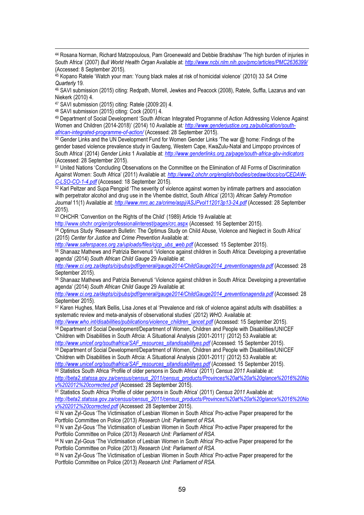<sup>44</sup> Rosana Norman, Richard Matzopoulous, Pam Groenewald and Debbie Bradshaw 'The high burden of injuries in South Africa' (2007) *Bull World Health Organ* Available at: *http://www.ncbi.nlm.nih.gov/pmc/articles/PMC2636399/* (Accessed: 8 September 2015).

<sup>45</sup> Kopano Ratele 'Watch your man: Young black males at risk of homicidal violence' (2010) 33 *SA Crime Quarterly* 19.

<sup>46</sup> SAVI submission (2015) citing: Redpath, Morrell, Jewkes and Peacock (2008), Ratele, Suffla, Lazarus and van Niekerk (2010) 4.

<sup>47</sup> SAVI submission (2015) citing: Ratele (2009:20) 4.

<sup>48</sup> SAVI submission (2015) citing: Cock (2001) 4.

l.

<sup>49</sup> Department of Social Development 'South African Integrated Programme of Action Addressing Violence Against Women and Children (2014-2018)' (2014) 10 Available at*: http://www.genderjustice.org.za/publication/southafrican-integrated-programme-of-action/* (Accessed: 28 September 2015).

<sup>50</sup> Gender Links and the UN Development Fund for Women Gender Links 'The war @ home: Findings of the gender based violence prevalence study in Gauteng, Western Cape, KwaZulu-Natal and Limpopo provinces of South Africa' (2014) *Gender Links* 1 Available at: *http://www.genderlinks.org.za/page/south-africa-gbv-indicators* (Accessed: 28 September 2015).

51 United Nations 'Concluding Observations on the Committee on the Elimination of All Forms of Discrimination Against Women: South Africa' (2011) Available at: *http://www2.ohchr.org/english/bodies/cedaw/docs/co/CEDAW-C-LSO-CO-1-4.pdf* (Accessed: 18 September 2015).

52 Karl Peltzer and Supa Pengpid 'The severity of violence against women by intimate partners and association with perpetrator alcohol and drug use in the Vhembe district, South Africa' (2013) *African Safety Promotion Journal* 11(1) Available at: *http://www.mrc.ac.za/crime/aspj/ASJPvol112013p13-24.pdf* (Accessed: 28 September 2015).

<sup>53</sup> OHCHR 'Convention on the Rights of the Child' (1989) Article 19 Available at:

http://www.ohchr.org/en/professionalinterest/pages/crc.aspx (Accessed: 16 September 2015).

<sup>54</sup> Optimus Study 'Research Bulletin: The Optimus Study on Child Abuse, Violence and Neglect in South Africa' (2015) *Center for Justice and Crime Prevention* Available at*:* 

*http://www.saferspaces.org.za/uploads/files/cjcp\_ubs\_web.pdf* (Accessed: 15 September 2015).

<sup>55</sup> Shanaaz Mathews and Patrizia Benvenuti 'Violence against children in South Africa: Developing a preventative agenda' (2014) *South African Child Gauge* 29 Available at:

*http://www.ci.org.za/depts/ci/pubs/pdf/general/gauge2014/ChildGauge2014\_preventionagenda.pdf* (Accessed: 28 September 2015).

<sup>56</sup> Shanaaz Mathews and Patrizia Benvenuti 'Violence against children in South Africa: Developing a preventative agenda' (2014) *South African Child Gauge* 29 Available at:

*http://www.ci.org.za/depts/ci/pubs/pdf/general/gauge2014/ChildGauge2014\_preventionagenda.pdf* (Accessed: 28 September 2015).

<sup>57</sup> Karen Hughes, Mark Bellis, Lisa Jones et al 'Prevalence and risk of violence against adults with disabilities: a systematic review and meta-analysis of observational studies' (2012) *WHO*. Available at:

*http://www.who.int/disabilities/publications/violence\_children\_lancet.pdf* (Accessed: 15 September 2015). <sup>58</sup> Department of Social Development/Department of Women, Children and People with Disabilities/UNICEF 'Children with Disabilities in South Afrcia: A Situational Analysis (2001-2011)' (2012) 53 Available at:

*http://www.unicef.org/southafrica/SAF\_resources\_sitandisabilityes.pdf* (Accessed: 15 September 2015). <sup>59</sup> Department of Social Development/Department of Women, Children and People with Disabilities/UNICEF 'Children with Disabilities in South Afrcia: A Situational Analysis (2001-2011)' (2012) 53 Available at:

*http://www.unicef.org/southafrica/SAF\_resources\_sitandisabilityes.pdf* (Accessed: 15 September 2015). <sup>60</sup> Statistics South Africa 'Profile of older persons in South Africa' (2011) *Census 2011* Available at:

*http://beta2.statssa.gov.za/census/census\_2011/census\_products/Provinces%20at%20a%20glance%2016%20No v%202012%20corrected.pdf* (Accessed: 28 September 2015).

<sup>61</sup> Statistics South Africa 'Profile of older persons in South Africa' (2011) *Census 2011* Available at: *http://beta2.statssa.gov.za/census/census\_2011/census\_products/Provinces%20at%20a%20glance%2016%20No v%202012%20corrected.pdf* (Accessed: 28 September 2015).

62 N van Zyl-Gous 'The Victimisation of Lesbian Women in South Africa' Pro-active Paper preapered for the Portfolio Committee on Police (2013) *Research Unit: Parliament of RSA*.

<sup>63</sup> N van Zyl-Gous 'The Victimisation of Lesbian Women in South Africa' Pro-active Paper preapered for the Portfolio Committee on Police (2013) *Research Unit: Parliament of RSA*.

<sup>64</sup> N van Zyl-Gous 'The Victimisation of Lesbian Women in South Africa' Pro-active Paper preapered for the Portfolio Committee on Police (2013) *Research Unit: Parliament of RSA*.

<sup>65</sup> N van Zyl-Gous 'The Victimisation of Lesbian Women in South Africa' Pro-active Paper preapered for the Portfolio Committee on Police (2013) *Research Unit: Parliament of RSA*.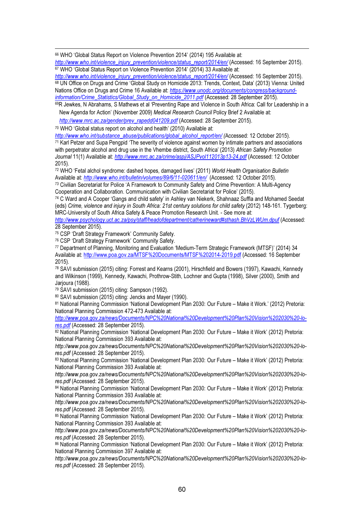<sup>66</sup> WHO 'Global Status Report on Violence Prevention 2014' (2014) 195 Available at:

*http://www.who.int/violence\_injury\_prevention/violence/status\_report/2014/en/* (Accessed: 16 September 2015). <sup>67</sup> WHO 'Global Status Report on Violence Prevention 2014' (2014) 33 Available at:

*http://www.who.int/violence\_injury\_prevention/violence/status\_report/2014/en/* (Accessed: 16 September 2015). <sup>68</sup> UN Office on Drugs and Crime 'Global Study on Homicide 2013: Trends, Context, Data' (2013) Vienna: United Nations Office on Drugs and Crime 16 Available at: *https://www.unodc.org/documents/congress/backgroundinformation/Crime\_Statistics/Global\_Study\_on\_Homicide\_2011.pdf* (Accessed: 28 September 2015).

<sup>69</sup>R Jewkes, N Abrahams, S Mathews et al 'Preventing Rape and Violence in South Africa: Call for Leadership in a New Agenda for Action' (November 2009) *Medical Research Council* Policy Brief 2 Available at:

*http://www.mrc.ac.za/gender/prev\_rapedd041209.pdf* (Accessed: 28 September 2015).

<sup>70</sup> WHO 'Global status report on alcohol and health' (2010) Available at:

l.

*http://www.who.int/substance\_abuse/publications/global\_alcohol\_report/en/ (*Accessed: 12 October 2015). <sup>71</sup> Karl Petzer and Supa Pengpid 'The severity of violence against women by intimate partners and associations with perpetrator alcohol and drug use in the Vhembe district, South Africa' (2013) *African Safety Promotion* 

*Journal* 11(1) Available at: *http://www.mrc.ac.za/crime/aspj/ASJPvol112013p13-24.pdf* (Accessed: 12 October 2015).

<sup>72</sup> WHO 'Fetal alchol syndrome: dashed hopes, damaged lives' (2011) *World Health Organisation Bulletin*  Available at: *http://www.who.int/bulletin/volumes/89/6/11-020611/en/* (Accessed: 12 October 2015).

<sup>73</sup> Civilian Secretariat for Police 'A Framework to Community Safety and Crime Prevention: A Multi-Agency Cooperation and Collaboration. Communication with Civilian Secretariat for Police' (2015).

<sup>74</sup> C Ward and A Cooper 'Gangs and child safety' in Ashley van Niekerk, Shahnaaz Suffla and Mohamed Seedat (eds) *Crime, violence and injury in South Africa: 21st century solutions for child safety* (2012) 148-161. Tygerberg: MRC-University of South Africa Safety & Peace Promotion Research Unit. - See more at:

*http://www.psychology.uct.ac.za/psy/staff/headofdepartment/catherineward#sthash.BhVzLWUm.dpuf* (Accessed: 28 September 2015).

<sup>75</sup> CSP 'Draft Strategy Framework' Community Safety.

<sup>76</sup> CSP 'Draft Strategy Framework' Community Safety.

<sup>77</sup> Department of Planning, Monitoring and Evaluation 'Medium-Term Strategic Framework (MTSF)' (2014) 34 Available at: http://www.poa.gov.za/MTSF%20Documents/MTSF%202014-2019.pdf (Accessed: 16 September 2015).

<sup>78</sup> SAVI submission (2015) citing: Forrest and Kearns (2001), Hirschfield and Bowers (1997), Kawachi, Kennedy and Wilkinson (1999), Kennedy, Kawachi, Prothrow-Stith, Lochner and Gupta (1998), Silver (2000), Smith and Jarjoura (1988).

<sup>79</sup> SAVI submission (2015) citing: Sampson (1992).

<sup>80</sup> SAVI submission (2015) citing: Jencks and Mayer (1990).

<sup>81</sup> National Planning Commission 'National Development Plan 2030: Our Future – Make it Work.' (2012) Pretoria: National Planning Commission 472-473 Available at:

*http://www.poa.gov.za/news/Documents/NPC%20National%20Development%20Plan%20Vision%202030%20-lores.pdf* (Accessed: 28 September 2015).

82 National Planning Commission 'National Development Plan 2030: Our Future – Make it Work' (2012) Pretoria: National Planning Commission 393 Available at:

*http://www.poa.gov.za/news/Documents/NPC%20National%20Development%20Plan%20Vision%202030%20-lores.pdf* (Accessed: 28 September 2015).

83 National Planning Commission 'National Development Plan 2030: Our Future – Make it Work' (2012) Pretoria: National Planning Commission 393 Available at:

*http://www.poa.gov.za/news/Documents/NPC%20National%20Development%20Plan%20Vision%202030%20-lores.pdf* (Accessed: 28 September 2015).

<sup>84</sup> National Planning Commission 'National Development Plan 2030: Our Future – Make it Work' (2012) Pretoria: National Planning Commission 393 Available at:

*http://www.poa.gov.za/news/Documents/NPC%20National%20Development%20Plan%20Vision%202030%20-lores.pdf* (Accessed: 28 September 2015).

<sup>85</sup> National Planning Commission 'National Development Plan 2030: Our Future – Make it Work' (2012) Pretoria: National Planning Commission 393 Available at:

*http://www.poa.gov.za/news/Documents/NPC%20National%20Development%20Plan%20Vision%202030%20-lores.pdf* (Accessed: 28 September 2015).

86 National Planning Commission 'National Development Plan 2030: Our Future – Make it Work' (2012) Pretoria: National Planning Commission 397 Available at:

*http://www.poa.gov.za/news/Documents/NPC%20National%20Development%20Plan%20Vision%202030%20-lores.pdf* (Accessed: 28 September 2015).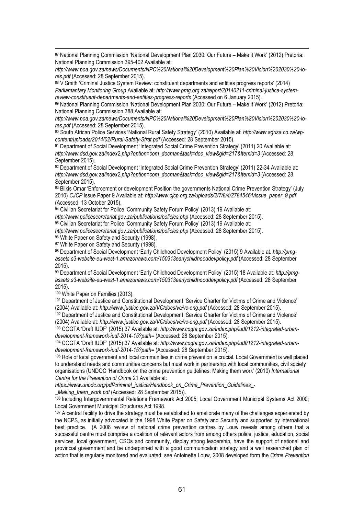<sup>87</sup> National Planning Commission 'National Development Plan 2030: Our Future – Make it Work' (2012) Pretoria: National Planning Commission 395-402 Available at:

*http://www.poa.gov.za/news/Documents/NPC%20National%20Development%20Plan%20Vision%202030%20-lores.pdf* (Accessed: 28 September 2015).

88 V Smith 'Criminal Justice System Review: constituent departments and entities progress reports' (2014) *Parliamantary Monitoring Group* Available at: *http://www.pmg.org.za/report/20140211-criminal-justice-systemreview-constituent-departments-and-entities-progress-reports* (Accessed on 6 January 2015).

<sup>89</sup> National Planning Commission 'National Development Plan 2030: Our Future – Make it Work' (2012) Pretoria: National Planning Commission 388 Available at:

*http://www.poa.gov.za/news/Documents/NPC%20National%20Development%20Plan%20Vision%202030%20-lores.pdf* (Accessed: 28 September 2015).

<sup>90</sup> South African Police Services 'National Rural Safety Strategy' (2010) Available at: *http://www.agrisa.co.za/wpcontent/uploads/2014/02/Rural-Safety-Strat.pdf* (Accessed: 28 September 2015).

<sup>91</sup> Department of Social Development 'Integrated Social Crime Prevention Strategy' (2011) 20 Available at: *http://www.dsd.gov.za/index2.php?option=com\_docman&task=doc\_view&gid=217&Itemid=3* (Accessed: 28 September 2015).

92 Department of Social Development 'Integrated Social Crime Prevention Strategy' (2011) 22-34 Available at: *http://www.dsd.gov.za/index2.php?option=com\_docman&task=doc\_view&gid=217&Itemid=3* (Accessed: 28 September 2015).

93 Bilkis Omar 'Enforcement or development Position the governments National Crime Prevention Strategy' (July 2010) *CJCP* Issue Paper 9 Available at: *http://www.cjcp.org.za/uploads/2/7/8/4/27845461/issue\_paper\_9.pdf* (Accessed: 13 October 2015).

94 Civilian Secretariat for Police 'Community Safety Forum Policy' (2013) 19 Available at:

*http://www.policesecretariat.gov.za/publications/policies.php* (Accessed: 28 September 2015).

95 Civilian Secretariat for Police 'Community Safety Forum Policy' (2013) 19 Available at:

*http://www.policesecretariat.gov.za/publications/policies.php* (Accessed: 28 September 2015).

96 White Paper on Safety and Security (1998).

97 White Paper on Safety and Security (1998).

<sup>98</sup> Department of Social Development 'Early Childhood Development Policy' (2015) 9 Available at*: http://pmgassets.s3-website-eu-west-1.amazonaws.com/150313earlychildhooddevpolicy.pdf* (Accessed: 28 September 2015).

<sup>99</sup> Department of Social Development 'Early Childhood Development Policy' (2015) 18 Available at*: http://pmgassets.s3-website-eu-west-1.amazonaws.com/150313earlychildhooddevpolicy.pdf* (Accessed: 28 September 2015).

<sup>100</sup> White Paper on Families (2013).

l.

<sup>101</sup> Department of Justice and Constitutional Development 'Service Charter for Victims of Crime and Violence' (2004) Available at: *http://www.justice.gov.za/VC/docs/vc/vc-eng.pdf* (Accessed: 28 September 2015).

<sup>102</sup> Department of Justice and Constitutional Development 'Service Charter for Victims of Crime and Violence' (2004) Available at: *http://www.justice.gov.za/VC/docs/vc/vc-eng.pdf* (Accessed: 28 September 2015).

<sup>103</sup> COGTA 'Draft IUDF' (2015) 37 Available at: *http://www.cogta.gov.za/index.php/iudf/1212-integrated-urbandevelopment-framework-iudf-2014-15?path=* (Accessed: 28 September 2015).

<sup>104</sup> COGTA 'Draft IUDF' (2015) 37 Available at: *http://www.cogta.gov.za/index.php/iudf/1212-integrated-urbandevelopment-framework-iudf-2014-15?path=* (Accessed: 28 September 2015).

<sup>105</sup> Role of local government and local communities in crime prevention is crucial. Local Government is well placed to understand needs and communities concerns but must work in partnership with local communities, civil society organisations (UNDOC 'Handbook on the crime prevention guidelines: Making them work' (2010) *International Centre for the Prevention of Crime* 21 Available at:

*https://www.unodc.org/pdf/criminal\_justice/Handbook\_on\_Crime\_Prevention\_Guidelines\_-*

*\_Making\_them\_work.pdf* (Accessed: 28 September 2015)).

106 Including Intergovernmental Relations Framework Act 2005; Local Government Municipal Systems Act 2000; Local Government Municipal Structures Act 1998.

<sup>107</sup> A central facility to drive the strategy must be established to ameliorate many of the challenges experienced by the NCPS, as initially advocated in the 1998 White Paper on Safety and Security and supported by international best practice. (A 2008 review of national crime prevention centres by Louw reveals among others that a successful centre must comprise a coalition of relevant actors from among others police, justice, education, social services, local government, CSOs and community, display strong leadership, have the support of national and provincial government and be underpinned with a good communication strategy and a well researched plan of action that is regularly monitored and evaluated. see Antoinette Louw, 2008 developed form the *Crime Prevention*